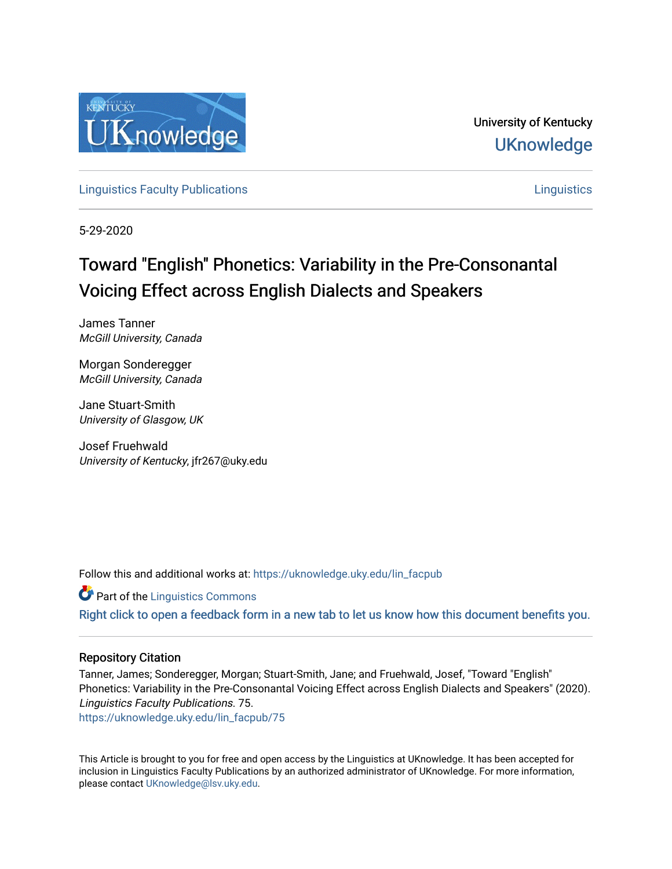

University of Kentucky **UKnowledge** 

**[Linguistics Faculty Publications](https://uknowledge.uky.edu/lin_facpub) [Linguistics](https://uknowledge.uky.edu/lin) Linguistics Linguistics** Linguistics Linguistics Linguistics Linguistics

5-29-2020

# Toward "English" Phonetics: Variability in the Pre-Consonantal Voicing Effect across English Dialects and Speakers

James Tanner McGill University, Canada

Morgan Sonderegger McGill University, Canada

Jane Stuart-Smith University of Glasgow, UK

Josef Fruehwald University of Kentucky, jfr267@uky.edu

Follow this and additional works at: [https://uknowledge.uky.edu/lin\\_facpub](https://uknowledge.uky.edu/lin_facpub?utm_source=uknowledge.uky.edu%2Flin_facpub%2F75&utm_medium=PDF&utm_campaign=PDFCoverPages)

**Part of the Linguistics Commons** 

[Right click to open a feedback form in a new tab to let us know how this document benefits you.](https://uky.az1.qualtrics.com/jfe/form/SV_9mq8fx2GnONRfz7)

#### Repository Citation

Tanner, James; Sonderegger, Morgan; Stuart-Smith, Jane; and Fruehwald, Josef, "Toward "English" Phonetics: Variability in the Pre-Consonantal Voicing Effect across English Dialects and Speakers" (2020). Linguistics Faculty Publications. 75.

[https://uknowledge.uky.edu/lin\\_facpub/75](https://uknowledge.uky.edu/lin_facpub/75?utm_source=uknowledge.uky.edu%2Flin_facpub%2F75&utm_medium=PDF&utm_campaign=PDFCoverPages) 

This Article is brought to you for free and open access by the Linguistics at UKnowledge. It has been accepted for inclusion in Linguistics Faculty Publications by an authorized administrator of UKnowledge. For more information, please contact [UKnowledge@lsv.uky.edu.](mailto:UKnowledge@lsv.uky.edu)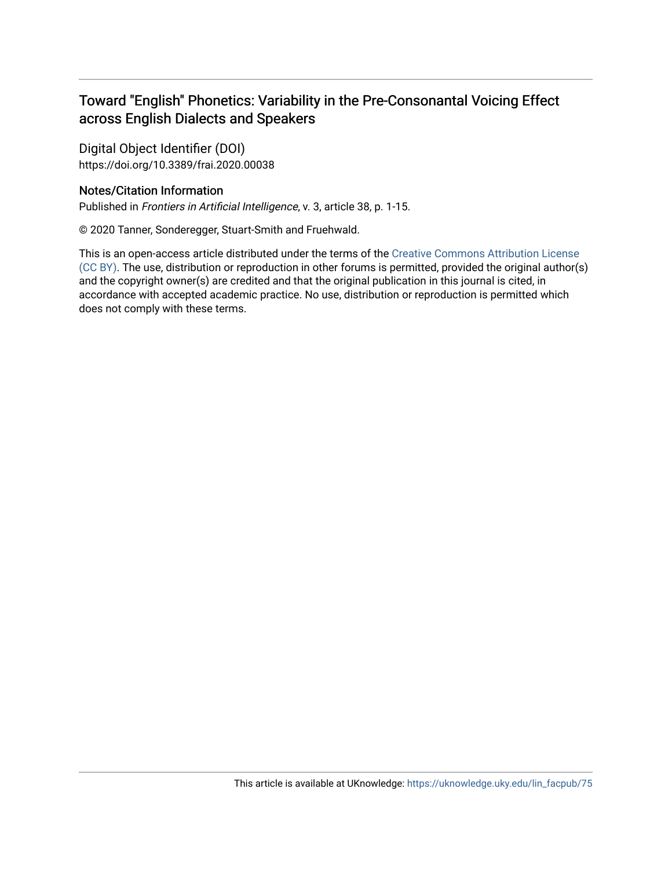# Toward "English" Phonetics: Variability in the Pre-Consonantal Voicing Effect across English Dialects and Speakers

Digital Object Identifier (DOI) https://doi.org/10.3389/frai.2020.00038

### Notes/Citation Information

Published in Frontiers in Artificial Intelligence, v. 3, article 38, p. 1-15.

© 2020 Tanner, Sonderegger, Stuart-Smith and Fruehwald.

This is an open-access article distributed under the terms of the [Creative Commons Attribution License](http://creativecommons.org/licenses/by/4.0/) [\(CC BY\)](http://creativecommons.org/licenses/by/4.0/). The use, distribution or reproduction in other forums is permitted, provided the original author(s) and the copyright owner(s) are credited and that the original publication in this journal is cited, in accordance with accepted academic practice. No use, distribution or reproduction is permitted which does not comply with these terms.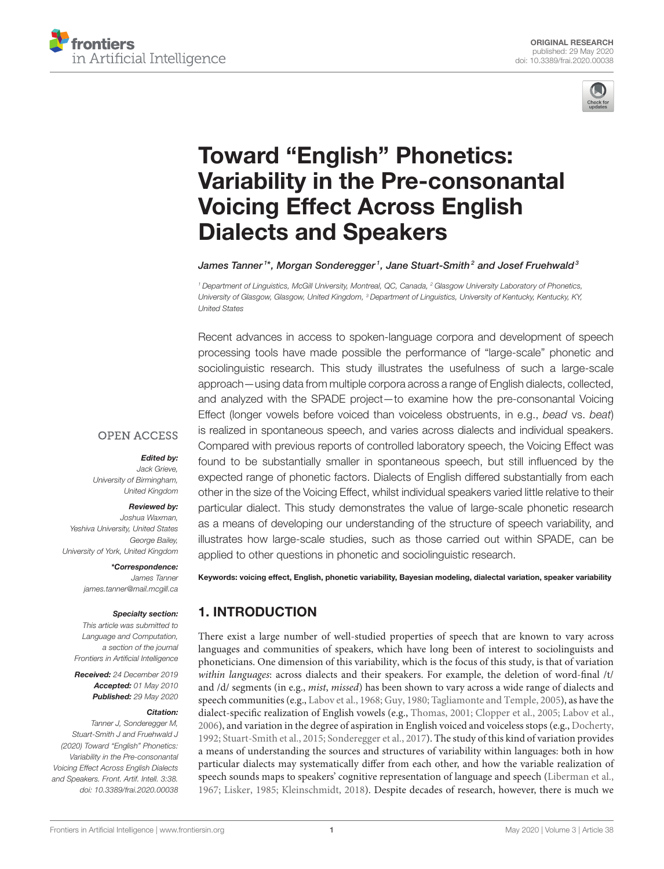



# Toward "English" Phonetics: [Variability in the Pre-consonantal](https://www.frontiersin.org/articles/10.3389/frai.2020.00038/full) Voicing Effect Across English Dialects and Speakers

#### [James Tanner](http://loop.frontiersin.org/people/677444/overview)1\*, [Morgan Sonderegger](http://loop.frontiersin.org/people/711243/overview)1, [Jane Stuart-Smith](http://loop.frontiersin.org/people/939731/overview)<sup>2</sup> and Josef Fruehwald<sup>3</sup>

*<sup>1</sup> Department of Linguistics, McGill University, Montreal, QC, Canada, <sup>2</sup> Glasgow University Laboratory of Phonetics, University of Glasgow, Glasgow, United Kingdom, <sup>3</sup> Department of Linguistics, University of Kentucky, Kentucky, KY, United States*

Recent advances in access to spoken-language corpora and development of speech processing tools have made possible the performance of "large-scale" phonetic and sociolinguistic research. This study illustrates the usefulness of such a large-scale approach—using data from multiple corpora across a range of English dialects, collected, and analyzed with the SPADE project—to examine how the pre-consonantal Voicing Effect (longer vowels before voiced than voiceless obstruents, in e.g., *bead* vs. *beat*) is realized in spontaneous speech, and varies across dialects and individual speakers. Compared with previous reports of controlled laboratory speech, the Voicing Effect was found to be substantially smaller in spontaneous speech, but still influenced by the expected range of phonetic factors. Dialects of English differed substantially from each other in the size of the Voicing Effect, whilst individual speakers varied little relative to their particular dialect. This study demonstrates the value of large-scale phonetic research as a means of developing our understanding of the structure of speech variability, and illustrates how large-scale studies, such as those carried out within SPADE, can be applied to other questions in phonetic and sociolinguistic research.

#### **OPEN ACCESS**

#### Edited by:

*Jack Grieve, University of Birmingham, United Kingdom*

#### Reviewed by:

*Joshua Waxman, Yeshiva University, United States George Bailey, University of York, United Kingdom*

\*Correspondence:

*James Tanner [james.tanner@mail.mcgill.ca](mailto:james.tanner@mail.mcgill.ca)*

#### Specialty section:

*This article was submitted to Language and Computation, a section of the journal Frontiers in Artificial Intelligence*

Received: *24 December 2019* Accepted: *01 May 2010* Published: *29 May 2020*

#### Citation:

*Tanner J, Sonderegger M, Stuart-Smith J and Fruehwald J (2020) Toward "English" Phonetics: Variability in the Pre-consonantal Voicing Effect Across English Dialects and Speakers. Front. Artif. Intell. 3:38. doi: [10.3389/frai.2020.00038](https://doi.org/10.3389/frai.2020.00038)* Keywords: voicing effect, English, phonetic variability, Bayesian modeling, dialectal variation, speaker variability

# 1. INTRODUCTION

There exist a large number of well-studied properties of speech that are known to vary across languages and communities of speakers, which have long been of interest to sociolinguists and phoneticians. One dimension of this variability, which is the focus of this study, is that of variation within languages: across dialects and their speakers. For example, the deletion of word-final /t/ and /d/ segments (in e.g., mist, missed) has been shown to vary across a wide range of dialects and speech communities (e.g., [Labov et al., 1968;](#page-15-0) [Guy, 1980;](#page-14-0) [Tagliamonte and Temple, 2005\)](#page-16-0), as have the dialect-specific realization of English vowels (e.g., [Thomas, 2001;](#page-16-1) [Clopper et al., 2005;](#page-14-1) [Labov et al.,](#page-15-1) [2006\)](#page-15-1), and variation in the degree of aspiration in English voiced and voiceless stops (e.g., [Docherty,](#page-14-2) [1992;](#page-14-2) [Stuart-Smith et al., 2015;](#page-15-2) [Sonderegger et al., 2017\)](#page-15-3). The study of this kind of variation provides a means of understanding the sources and structures of variability within languages: both in how particular dialects may systematically differ from each other, and how the variable realization of speech sounds maps to speakers' cognitive representation of language and speech [\(Liberman et al.,](#page-15-4) [1967;](#page-15-4) [Lisker, 1985;](#page-15-5) [Kleinschmidt, 2018\)](#page-15-6). Despite decades of research, however, there is much we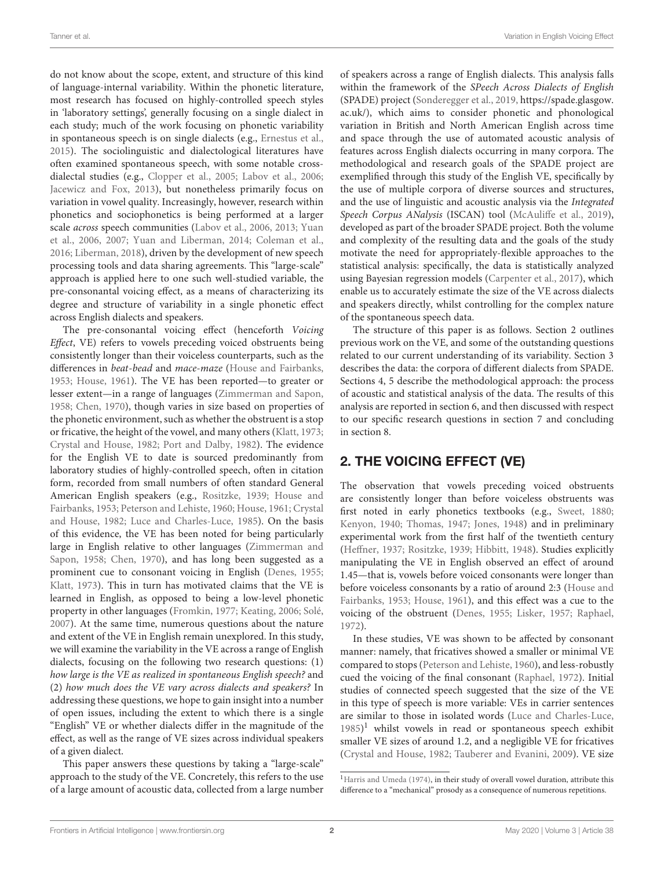do not know about the scope, extent, and structure of this kind of language-internal variability. Within the phonetic literature, most research has focused on highly-controlled speech styles in 'laboratory settings', generally focusing on a single dialect in each study; much of the work focusing on phonetic variability in spontaneous speech is on single dialects (e.g., [Ernestus et al.,](#page-14-3) [2015\)](#page-14-3). The sociolinguistic and dialectological literatures have often examined spontaneous speech, with some notable crossdialectal studies (e.g., [Clopper et al., 2005;](#page-14-1) [Labov et al., 2006;](#page-15-1) [Jacewicz and Fox, 2013\)](#page-15-7), but nonetheless primarily focus on variation in vowel quality. Increasingly, however, research within phonetics and sociophonetics is being performed at a larger scale across speech communities [\(Labov et al., 2006,](#page-15-1) [2013;](#page-15-8) Yuan et al., [2006,](#page-16-2) [2007;](#page-16-3) [Yuan and Liberman, 2014;](#page-16-4) [Coleman et al.,](#page-14-4) [2016;](#page-14-4) [Liberman, 2018\)](#page-15-9), driven by the development of new speech processing tools and data sharing agreements. This "large-scale" approach is applied here to one such well-studied variable, the pre-consonantal voicing effect, as a means of characterizing its degree and structure of variability in a single phonetic effect across English dialects and speakers.

The pre-consonantal voicing effect (henceforth Voicing Effect, VE) refers to vowels preceding voiced obstruents being consistently longer than their voiceless counterparts, such as the differences in beat-bead and mace-maze [\(House and Fairbanks,](#page-15-10) [1953;](#page-15-10) [House, 1961\)](#page-15-11). The VE has been reported—to greater or lesser extent—in a range of languages [\(Zimmerman and Sapon,](#page-16-5) [1958;](#page-16-5) [Chen, 1970\)](#page-14-5), though varies in size based on properties of the phonetic environment, such as whether the obstruent is a stop or fricative, the height of the vowel, and many others [\(Klatt, 1973;](#page-15-12) [Crystal and House, 1982;](#page-14-6) [Port and Dalby, 1982\)](#page-15-13). The evidence for the English VE to date is sourced predominantly from laboratory studies of highly-controlled speech, often in citation form, recorded from small numbers of often standard General American English speakers (e.g., [Rositzke, 1939;](#page-15-14) House and Fairbanks, [1953;](#page-15-10) [Peterson and Lehiste, 1960;](#page-15-15) [House, 1961;](#page-15-11) Crystal and House, [1982;](#page-14-6) [Luce and Charles-Luce, 1985\)](#page-15-16). On the basis of this evidence, the VE has been noted for being particularly large in English relative to other languages (Zimmerman and Sapon, [1958;](#page-16-5) [Chen, 1970\)](#page-14-5), and has long been suggested as a prominent cue to consonant voicing in English [\(Denes, 1955;](#page-14-7) [Klatt, 1973\)](#page-15-12). This in turn has motivated claims that the VE is learned in English, as opposed to being a low-level phonetic property in other languages [\(Fromkin, 1977;](#page-14-8) [Keating, 2006;](#page-15-17) [Solé,](#page-15-18) [2007\)](#page-15-18). At the same time, numerous questions about the nature and extent of the VE in English remain unexplored. In this study, we will examine the variability in the VE across a range of English dialects, focusing on the following two research questions: (1) how large is the VE as realized in spontaneous English speech? and (2) how much does the VE vary across dialects and speakers? In addressing these questions, we hope to gain insight into a number of open issues, including the extent to which there is a single "English" VE or whether dialects differ in the magnitude of the effect, as well as the range of VE sizes across individual speakers of a given dialect.

This paper answers these questions by taking a "large-scale" approach to the study of the VE. Concretely, this refers to the use of a large amount of acoustic data, collected from a large number of speakers across a range of English dialects. This analysis falls within the framework of the SPeech Across Dialects of English (SPADE) project [\(Sonderegger et al., 2019,](#page-15-19) [https://spade.glasgow.](https://spade.glasgow.ac.uk/) [ac.uk/\)](https://spade.glasgow.ac.uk/), which aims to consider phonetic and phonological variation in British and North American English across time and space through the use of automated acoustic analysis of features across English dialects occurring in many corpora. The methodological and research goals of the SPADE project are exemplified through this study of the English VE, specifically by the use of multiple corpora of diverse sources and structures, and the use of linguistic and acoustic analysis via the Integrated Speech Corpus ANalysis (ISCAN) tool [\(McAuliffe et al., 2019\)](#page-15-20), developed as part of the broader SPADE project. Both the volume and complexity of the resulting data and the goals of the study motivate the need for appropriately-flexible approaches to the statistical analysis: specifically, the data is statistically analyzed using Bayesian regression models [\(Carpenter et al., 2017\)](#page-14-9), which enable us to accurately estimate the size of the VE across dialects and speakers directly, whilst controlling for the complex nature of the spontaneous speech data.

The structure of this paper is as follows. Section 2 outlines previous work on the VE, and some of the outstanding questions related to our current understanding of its variability. Section 3 describes the data: the corpora of different dialects from SPADE. Sections 4, 5 describe the methodological approach: the process of acoustic and statistical analysis of the data. The results of this analysis are reported in section 6, and then discussed with respect to our specific research questions in section 7 and concluding in section 8.

## 2. THE VOICING EFFECT (VE)

The observation that vowels preceding voiced obstruents are consistently longer than before voiceless obstruents was first noted in early phonetics textbooks (e.g., [Sweet, 1880;](#page-16-6) [Kenyon, 1940;](#page-15-21) [Thomas, 1947;](#page-16-7) [Jones, 1948\)](#page-15-22) and in preliminary experimental work from the first half of the twentieth century [\(Heffner, 1937;](#page-14-10) [Rositzke, 1939;](#page-15-14) [Hibbitt, 1948\)](#page-14-11). Studies explicitly manipulating the VE in English observed an effect of around 1.45—that is, vowels before voiced consonants were longer than before voiceless consonants by a ratio of around 2:3 (House and Fairbanks, [1953;](#page-15-10) [House, 1961\)](#page-15-11), and this effect was a cue to the voicing of the obstruent [\(Denes, 1955;](#page-14-7) [Lisker, 1957;](#page-15-23) [Raphael,](#page-15-24) [1972\)](#page-15-24).

In these studies, VE was shown to be affected by consonant manner: namely, that fricatives showed a smaller or minimal VE compared to stops [\(Peterson and Lehiste, 1960\)](#page-15-15), and less-robustly cued the voicing of the final consonant [\(Raphael, 1972\)](#page-15-24). Initial studies of connected speech suggested that the size of the VE in this type of speech is more variable: VEs in carrier sentences are similar to those in isolated words [\(Luce and Charles-Luce,](#page-15-16) [1985\)](#page-15-16) [1](#page-3-0) whilst vowels in read or spontaneous speech exhibit smaller VE sizes of around 1.2, and a negligible VE for fricatives [\(Crystal and House, 1982;](#page-14-6) [Tauberer and Evanini, 2009\)](#page-16-8). VE size

<span id="page-3-0"></span><sup>&</sup>lt;sup>1</sup>[Harris and Umeda \(1974\)](#page-14-12), in their study of overall vowel duration, attribute this difference to a "mechanical" prosody as a consequence of numerous repetitions.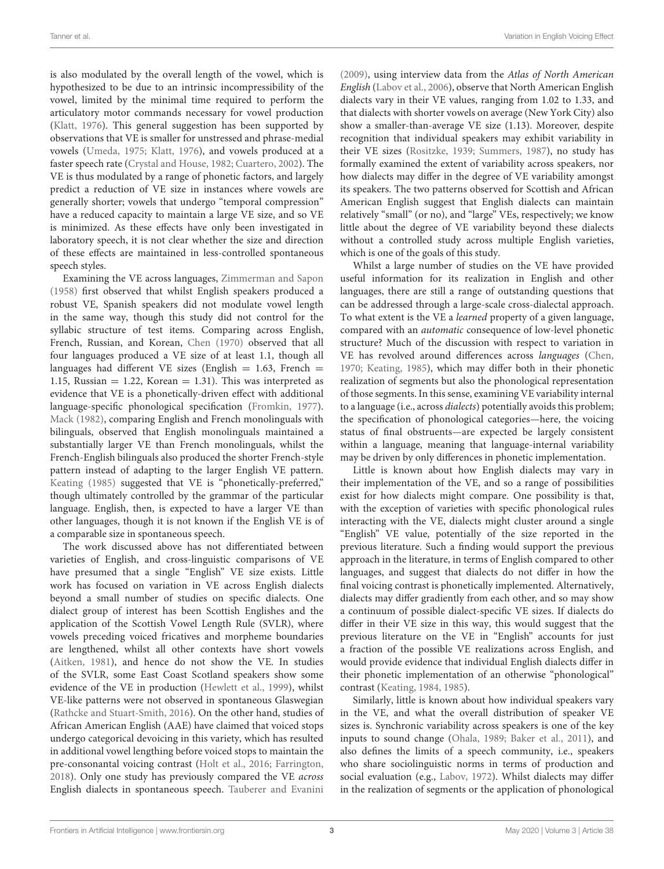is also modulated by the overall length of the vowel, which is hypothesized to be due to an intrinsic incompressibility of the vowel, limited by the minimal time required to perform the articulatory motor commands necessary for vowel production [\(Klatt, 1976\)](#page-15-25). This general suggestion has been supported by observations that VE is smaller for unstressed and phrase-medial vowels [\(Umeda, 1975;](#page-16-9) [Klatt, 1976\)](#page-15-25), and vowels produced at a faster speech rate [\(Crystal and House, 1982;](#page-14-6) [Cuartero, 2002\)](#page-14-13). The VE is thus modulated by a range of phonetic factors, and largely predict a reduction of VE size in instances where vowels are generally shorter; vowels that undergo "temporal compression" have a reduced capacity to maintain a large VE size, and so VE is minimized. As these effects have only been investigated in laboratory speech, it is not clear whether the size and direction of these effects are maintained in less-controlled spontaneous speech styles.

Examining the VE across languages, [Zimmerman and Sapon](#page-16-5) [\(1958\)](#page-16-5) first observed that whilst English speakers produced a robust VE, Spanish speakers did not modulate vowel length in the same way, though this study did not control for the syllabic structure of test items. Comparing across English, French, Russian, and Korean, [Chen \(1970\)](#page-14-5) observed that all four languages produced a VE size of at least 1.1, though all languages had different VE sizes (English  $= 1.63$ , French  $=$ 1.15, Russian  $= 1.22$ , Korean  $= 1.31$ ). This was interpreted as evidence that VE is a phonetically-driven effect with additional language-specific phonological specification [\(Fromkin, 1977\)](#page-14-8). [Mack \(1982\)](#page-15-26), comparing English and French monolinguals with bilinguals, observed that English monolinguals maintained a substantially larger VE than French monolinguals, whilst the French-English bilinguals also produced the shorter French-style pattern instead of adapting to the larger English VE pattern. [Keating \(1985\)](#page-15-27) suggested that VE is "phonetically-preferred," though ultimately controlled by the grammar of the particular language. English, then, is expected to have a larger VE than other languages, though it is not known if the English VE is of a comparable size in spontaneous speech.

The work discussed above has not differentiated between varieties of English, and cross-linguistic comparisons of VE have presumed that a single "English" VE size exists. Little work has focused on variation in VE across English dialects beyond a small number of studies on specific dialects. One dialect group of interest has been Scottish Englishes and the application of the Scottish Vowel Length Rule (SVLR), where vowels preceding voiced fricatives and morpheme boundaries are lengthened, whilst all other contexts have short vowels [\(Aitken, 1981\)](#page-14-14), and hence do not show the VE. In studies of the SVLR, some East Coast Scotland speakers show some evidence of the VE in production [\(Hewlett et al., 1999\)](#page-14-15), whilst VE-like patterns were not observed in spontaneous Glaswegian [\(Rathcke and Stuart-Smith, 2016\)](#page-15-28). On the other hand, studies of African American English (AAE) have claimed that voiced stops undergo categorical devoicing in this variety, which has resulted in additional vowel lengthing before voiced stops to maintain the pre-consonantal voicing contrast [\(Holt et al., 2016;](#page-15-29) [Farrington,](#page-14-16) [2018\)](#page-14-16). Only one study has previously compared the VE across English dialects in spontaneous speech. [Tauberer and Evanini](#page-16-8) [\(2009\)](#page-16-8), using interview data from the Atlas of North American English [\(Labov et al., 2006\)](#page-15-1), observe that North American English dialects vary in their VE values, ranging from 1.02 to 1.33, and that dialects with shorter vowels on average (New York City) also show a smaller-than-average VE size (1.13). Moreover, despite recognition that individual speakers may exhibit variability in their VE sizes [\(Rositzke, 1939;](#page-15-14) [Summers, 1987\)](#page-16-10), no study has formally examined the extent of variability across speakers, nor how dialects may differ in the degree of VE variability amongst its speakers. The two patterns observed for Scottish and African American English suggest that English dialects can maintain relatively "small" (or no), and "large" VEs, respectively; we know little about the degree of VE variability beyond these dialects without a controlled study across multiple English varieties, which is one of the goals of this study.

Whilst a large number of studies on the VE have provided useful information for its realization in English and other languages, there are still a range of outstanding questions that can be addressed through a large-scale cross-dialectal approach. To what extent is the VE a learned property of a given language, compared with an automatic consequence of low-level phonetic structure? Much of the discussion with respect to variation in VE has revolved around differences across languages [\(Chen,](#page-14-5) [1970;](#page-14-5) [Keating, 1985\)](#page-15-27), which may differ both in their phonetic realization of segments but also the phonological representation of those segments. In this sense, examining VE variability internal to a language (i.e., across dialects) potentially avoids this problem; the specification of phonological categories—here, the voicing status of final obstruents—are expected be largely consistent within a language, meaning that language-internal variability may be driven by only differences in phonetic implementation.

Little is known about how English dialects may vary in their implementation of the VE, and so a range of possibilities exist for how dialects might compare. One possibility is that, with the exception of varieties with specific phonological rules interacting with the VE, dialects might cluster around a single "English" VE value, potentially of the size reported in the previous literature. Such a finding would support the previous approach in the literature, in terms of English compared to other languages, and suggest that dialects do not differ in how the final voicing contrast is phonetically implemented. Alternatively, dialects may differ gradiently from each other, and so may show a continuum of possible dialect-specific VE sizes. If dialects do differ in their VE size in this way, this would suggest that the previous literature on the VE in "English" accounts for just a fraction of the possible VE realizations across English, and would provide evidence that individual English dialects differ in their phonetic implementation of an otherwise "phonological" contrast [\(Keating, 1984,](#page-15-30) [1985\)](#page-15-27).

Similarly, little is known about how individual speakers vary in the VE, and what the overall distribution of speaker VE sizes is. Synchronic variability across speakers is one of the key inputs to sound change [\(Ohala, 1989;](#page-15-31) [Baker et al., 2011\)](#page-14-17), and also defines the limits of a speech community, i.e., speakers who share sociolinguistic norms in terms of production and social evaluation (e.g., [Labov, 1972\)](#page-15-32). Whilst dialects may differ in the realization of segments or the application of phonological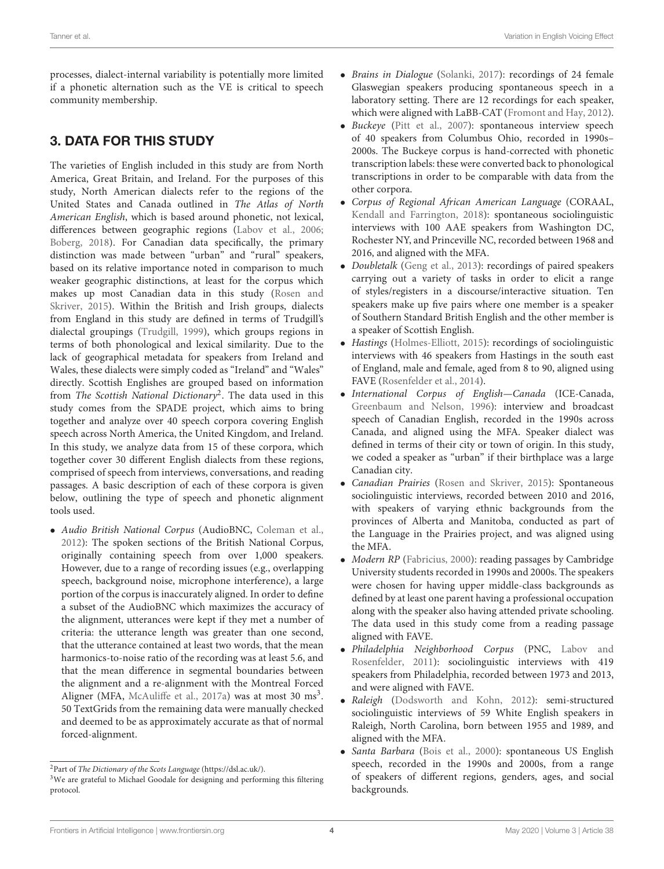processes, dialect-internal variability is potentially more limited if a phonetic alternation such as the VE is critical to speech community membership.

# 3. DATA FOR THIS STUDY

The varieties of English included in this study are from North America, Great Britain, and Ireland. For the purposes of this study, North American dialects refer to the regions of the United States and Canada outlined in The Atlas of North American English, which is based around phonetic, not lexical, differences between geographic regions [\(Labov et al., 2006;](#page-15-1) [Boberg, 2018\)](#page-14-18). For Canadian data specifically, the primary distinction was made between "urban" and "rural" speakers, based on its relative importance noted in comparison to much weaker geographic distinctions, at least for the corpus which makes up most Canadian data in this study (Rosen and Skriver, [2015\)](#page-15-33). Within the British and Irish groups, dialects from England in this study are defined in terms of Trudgill's dialectal groupings [\(Trudgill, 1999\)](#page-16-11), which groups regions in terms of both phonological and lexical similarity. Due to the lack of geographical metadata for speakers from Ireland and Wales, these dialects were simply coded as "Ireland" and "Wales" directly. Scottish Englishes are grouped based on information from The Scottish National Dictionary<sup>[2](#page-5-0)</sup>. The data used in this study comes from the SPADE project, which aims to bring together and analyze over 40 speech corpora covering English speech across North America, the United Kingdom, and Ireland. In this study, we analyze data from 15 of these corpora, which together cover 30 different English dialects from these regions, comprised of speech from interviews, conversations, and reading passages. A basic description of each of these corpora is given below, outlining the type of speech and phonetic alignment tools used.

• Audio British National Corpus (AudioBNC, [Coleman et al.,](#page-14-19) [2012\)](#page-14-19): The spoken sections of the British National Corpus, originally containing speech from over 1,000 speakers. However, due to a range of recording issues (e.g., overlapping speech, background noise, microphone interference), a large portion of the corpus is inaccurately aligned. In order to define a subset of the AudioBNC which maximizes the accuracy of the alignment, utterances were kept if they met a number of criteria: the utterance length was greater than one second, that the utterance contained at least two words, that the mean harmonics-to-noise ratio of the recording was at least 5.6, and that the mean difference in segmental boundaries between the alignment and a re-alignment with the Montreal Forced Aligner (MFA, [McAuliffe et al., 2017a\)](#page-15-34) was at most [3](#page-5-1)0  $\text{ms}^3$ . 50 TextGrids from the remaining data were manually checked and deemed to be as approximately accurate as that of normal forced-alignment.

- Brains in Dialogue [\(Solanki, 2017\)](#page-15-35): recordings of 24 female Glaswegian speakers producing spontaneous speech in a laboratory setting. There are 12 recordings for each speaker, which were aligned with LaBB-CAT [\(Fromont and Hay, 2012\)](#page-14-20).
- Buckeye [\(Pitt et al., 2007\)](#page-15-36): spontaneous interview speech of 40 speakers from Columbus Ohio, recorded in 1990s– 2000s. The Buckeye corpus is hand-corrected with phonetic transcription labels: these were converted back to phonological transcriptions in order to be comparable with data from the other corpora.
- Corpus of Regional African American Language (CORAAL, [Kendall and Farrington, 2018\)](#page-15-37): spontaneous sociolinguistic interviews with 100 AAE speakers from Washington DC, Rochester NY, and Princeville NC, recorded between 1968 and 2016, and aligned with the MFA.
- Doubletalk [\(Geng et al., 2013\)](#page-14-21): recordings of paired speakers carrying out a variety of tasks in order to elicit a range of styles/registers in a discourse/interactive situation. Ten speakers make up five pairs where one member is a speaker of Southern Standard British English and the other member is a speaker of Scottish English.
- Hastings [\(Holmes-Elliott, 2015\)](#page-14-22): recordings of sociolinguistic interviews with 46 speakers from Hastings in the south east of England, male and female, aged from 8 to 90, aligned using FAVE [\(Rosenfelder et al., 2014\)](#page-15-38).
- International Corpus of English—Canada (ICE-Canada, [Greenbaum and Nelson, 1996\)](#page-14-23): interview and broadcast speech of Canadian English, recorded in the 1990s across Canada, and aligned using the MFA. Speaker dialect was defined in terms of their city or town of origin. In this study, we coded a speaker as "urban" if their birthplace was a large Canadian city.
- Canadian Prairies [\(Rosen and Skriver, 2015\)](#page-15-33): Spontaneous sociolinguistic interviews, recorded between 2010 and 2016, with speakers of varying ethnic backgrounds from the provinces of Alberta and Manitoba, conducted as part of the Language in the Prairies project, and was aligned using the MFA.
- Modern RP [\(Fabricius, 2000\)](#page-14-24): reading passages by Cambridge University students recorded in 1990s and 2000s. The speakers were chosen for having upper middle-class backgrounds as defined by at least one parent having a professional occupation along with the speaker also having attended private schooling. The data used in this study come from a reading passage aligned with FAVE.
- Philadelphia Neighborhood Corpus (PNC, Labov and Rosenfelder, [2011\)](#page-15-39): sociolinguistic interviews with 419 speakers from Philadelphia, recorded between 1973 and 2013, and were aligned with FAVE.
- Raleigh [\(Dodsworth and Kohn, 2012\)](#page-14-25): semi-structured sociolinguistic interviews of 59 White English speakers in Raleigh, North Carolina, born between 1955 and 1989, and aligned with the MFA.
- Santa Barbara [\(Bois et al., 2000\)](#page-14-26): spontaneous US English speech, recorded in the 1990s and 2000s, from a range of speakers of different regions, genders, ages, and social backgrounds.

<span id="page-5-0"></span><sup>&</sup>lt;sup>2</sup>Part of The Dictionary of the Scots Language [\(https://dsl.ac.uk/\)](https://dsl.ac.uk/).

<span id="page-5-1"></span><sup>&</sup>lt;sup>3</sup>We are grateful to Michael Goodale for designing and performing this filtering protocol.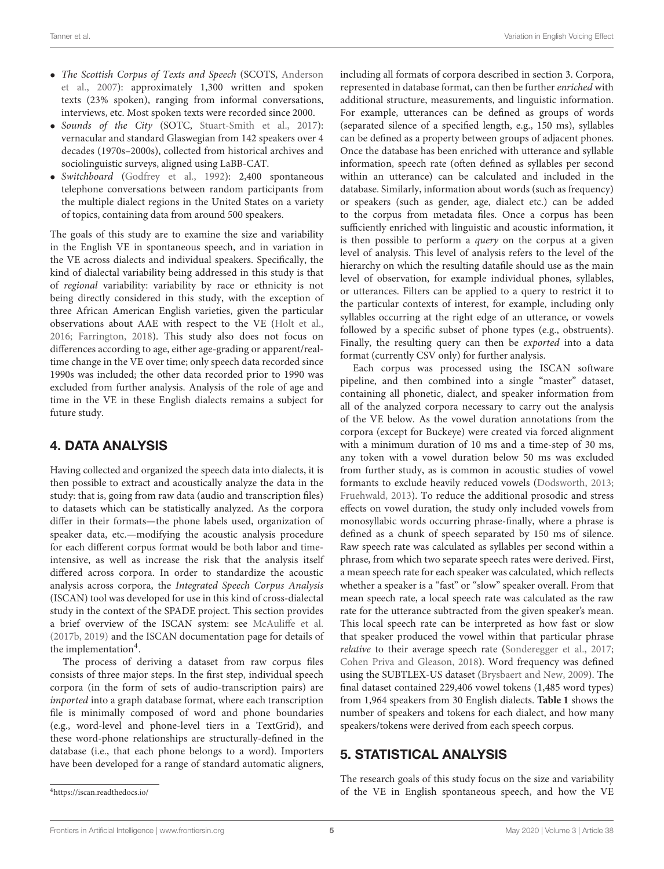- The Scottish Corpus of Texts and Speech (SCOTS, Anderson et al., [2007\)](#page-14-27): approximately 1,300 written and spoken texts (23% spoken), ranging from informal conversations, interviews, etc. Most spoken texts were recorded since 2000.
- Sounds of the City (SOTC, [Stuart-Smith et al., 2017\)](#page-15-40): vernacular and standard Glaswegian from 142 speakers over 4 decades (1970s–2000s), collected from historical archives and sociolinguistic surveys, aligned using LaBB-CAT.
- Switchboard [\(Godfrey et al., 1992\)](#page-14-28): 2,400 spontaneous telephone conversations between random participants from the multiple dialect regions in the United States on a variety of topics, containing data from around 500 speakers.

The goals of this study are to examine the size and variability in the English VE in spontaneous speech, and in variation in the VE across dialects and individual speakers. Specifically, the kind of dialectal variability being addressed in this study is that of regional variability: variability by race or ethnicity is not being directly considered in this study, with the exception of three African American English varieties, given the particular observations about AAE with respect to the VE [\(Holt et al.,](#page-15-29) [2016;](#page-15-29) [Farrington, 2018\)](#page-14-16). This study also does not focus on differences according to age, either age-grading or apparent/realtime change in the VE over time; only speech data recorded since 1990s was included; the other data recorded prior to 1990 was excluded from further analysis. Analysis of the role of age and time in the VE in these English dialects remains a subject for future study.

# 4. DATA ANALYSIS

Having collected and organized the speech data into dialects, it is then possible to extract and acoustically analyze the data in the study: that is, going from raw data (audio and transcription files) to datasets which can be statistically analyzed. As the corpora differ in their formats—the phone labels used, organization of speaker data, etc.—modifying the acoustic analysis procedure for each different corpus format would be both labor and timeintensive, as well as increase the risk that the analysis itself differed across corpora. In order to standardize the acoustic analysis across corpora, the Integrated Speech Corpus Analysis (ISCAN) tool was developed for use in this kind of cross-dialectal study in the context of the SPADE project. This section provides a brief overview of the ISCAN system: see [McAuliffe et al.](#page-15-41) [\(2017b,](#page-15-41) [2019\)](#page-15-20) and the ISCAN documentation page for details of the implementation<sup>[4](#page-6-0)</sup>.

The process of deriving a dataset from raw corpus files consists of three major steps. In the first step, individual speech corpora (in the form of sets of audio-transcription pairs) are imported into a graph database format, where each transcription file is minimally composed of word and phone boundaries (e.g., word-level and phone-level tiers in a TextGrid), and these word-phone relationships are structurally-defined in the database (i.e., that each phone belongs to a word). Importers have been developed for a range of standard automatic aligners,

including all formats of corpora described in section 3. Corpora, represented in database format, can then be further enriched with additional structure, measurements, and linguistic information. For example, utterances can be defined as groups of words (separated silence of a specified length, e.g., 150 ms), syllables can be defined as a property between groups of adjacent phones. Once the database has been enriched with utterance and syllable information, speech rate (often defined as syllables per second within an utterance) can be calculated and included in the database. Similarly, information about words (such as frequency) or speakers (such as gender, age, dialect etc.) can be added to the corpus from metadata files. Once a corpus has been sufficiently enriched with linguistic and acoustic information, it is then possible to perform a query on the corpus at a given level of analysis. This level of analysis refers to the level of the hierarchy on which the resulting datafile should use as the main level of observation, for example individual phones, syllables, or utterances. Filters can be applied to a query to restrict it to the particular contexts of interest, for example, including only syllables occurring at the right edge of an utterance, or vowels followed by a specific subset of phone types (e.g., obstruents). Finally, the resulting query can then be exported into a data format (currently CSV only) for further analysis.

Each corpus was processed using the ISCAN software pipeline, and then combined into a single "master" dataset, containing all phonetic, dialect, and speaker information from all of the analyzed corpora necessary to carry out the analysis of the VE below. As the vowel duration annotations from the corpora (except for Buckeye) were created via forced alignment with a minimum duration of 10 ms and a time-step of 30 ms, any token with a vowel duration below 50 ms was excluded from further study, as is common in acoustic studies of vowel formants to exclude heavily reduced vowels [\(Dodsworth, 2013;](#page-14-29) [Fruehwald, 2013\)](#page-14-30). To reduce the additional prosodic and stress effects on vowel duration, the study only included vowels from monosyllabic words occurring phrase-finally, where a phrase is defined as a chunk of speech separated by 150 ms of silence. Raw speech rate was calculated as syllables per second within a phrase, from which two separate speech rates were derived. First, a mean speech rate for each speaker was calculated, which reflects whether a speaker is a "fast" or "slow" speaker overall. From that mean speech rate, a local speech rate was calculated as the raw rate for the utterance subtracted from the given speaker's mean. This local speech rate can be interpreted as how fast or slow that speaker produced the vowel within that particular phrase relative to their average speech rate [\(Sonderegger et al., 2017;](#page-15-3) [Cohen Priva and Gleason, 2018\)](#page-14-31). Word frequency was defined using the SUBTLEX-US dataset [\(Brysbaert and New, 2009\)](#page-14-32). The final dataset contained 229,406 vowel tokens (1,485 word types) from 1,964 speakers from 30 English dialects. **[Table 1](#page-7-0)** shows the number of speakers and tokens for each dialect, and how many speakers/tokens were derived from each speech corpus.

# 5. STATISTICAL ANALYSIS

The research goals of this study focus on the size and variability of the VE in English spontaneous speech, and how the VE

<span id="page-6-0"></span><sup>4</sup><https://iscan.readthedocs.io/>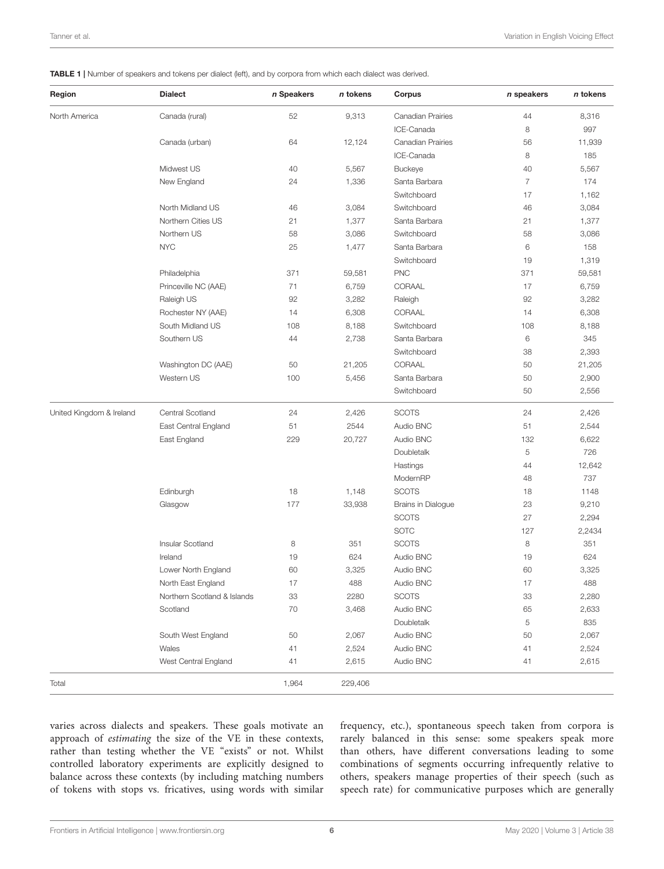#### <span id="page-7-0"></span>TABLE 1 | Number of speakers and tokens per dialect (left), and by corpora from which each dialect was derived.

| Region                   | <b>Dialect</b>              | n Speakers | n tokens | Corpus                   | n speakers     | n tokens |
|--------------------------|-----------------------------|------------|----------|--------------------------|----------------|----------|
| North America            | Canada (rural)              | 52         | 9,313    | <b>Canadian Prairies</b> | 44             | 8,316    |
|                          |                             |            |          | ICE-Canada               | 8              | 997      |
|                          | Canada (urban)              | 64         | 12,124   | <b>Canadian Prairies</b> | 56             | 11,939   |
|                          |                             |            |          | ICE-Canada               | 8              | 185      |
|                          | Midwest US                  | 40         | 5,567    | <b>Buckeye</b>           | 40             | 5,567    |
|                          | New England                 | 24         | 1,336    | Santa Barbara            | $\overline{7}$ | 174      |
|                          |                             |            |          | Switchboard              | 17             | 1,162    |
|                          | North Midland US            | 46         | 3,084    | Switchboard              | 46             | 3,084    |
|                          | Northern Cities US          | 21         | 1,377    | Santa Barbara            | 21             | 1,377    |
|                          | Northern US                 | 58         | 3,086    | Switchboard              | 58             | 3,086    |
|                          | <b>NYC</b>                  | 25         | 1,477    | Santa Barbara            | 6              | 158      |
|                          |                             |            |          | Switchboard              | 19             | 1,319    |
|                          | Philadelphia                | 371        | 59,581   | <b>PNC</b>               | 371            | 59,581   |
|                          | Princeville NC (AAE)        | 71         | 6,759    | CORAAL                   | 17             | 6,759    |
|                          | Raleigh US                  | 92         | 3,282    | Raleigh                  | 92             | 3,282    |
|                          | Rochester NY (AAE)          | 14         | 6,308    | CORAAL                   | 14             | 6,308    |
|                          | South Midland US            | 108        | 8,188    | Switchboard              | 108            | 8,188    |
|                          | Southern US                 | 44         | 2,738    | Santa Barbara            | 6              | 345      |
|                          |                             |            |          | Switchboard              | 38             | 2,393    |
|                          | Washington DC (AAE)         | 50         | 21,205   | CORAAL                   | 50             | 21,205   |
|                          | Western US                  | 100        | 5,456    | Santa Barbara            | 50             | 2,900    |
|                          |                             |            |          | Switchboard              | 50             | 2,556    |
| United Kingdom & Ireland | Central Scotland            | 24         | 2,426    | <b>SCOTS</b>             | 24             | 2,426    |
|                          | East Central England        | 51         | 2544     | Audio BNC                | 51             | 2,544    |
|                          | East England                | 229        | 20,727   | Audio BNC                | 132            | 6,622    |
|                          |                             |            |          | Doubletalk               | 5              | 726      |
|                          |                             |            |          | Hastings                 | 44             | 12,642   |
|                          |                             |            |          | ModernRP                 | 48             | 737      |
|                          | Edinburgh                   | 18         | 1,148    | <b>SCOTS</b>             | 18             | 1148     |
|                          | Glasgow                     | 177        | 33,938   | Brains in Dialogue       | 23             | 9,210    |
|                          |                             |            |          | <b>SCOTS</b>             | 27             | 2,294    |
|                          |                             |            |          | <b>SOTC</b>              | 127            | 2,2434   |
|                          | Insular Scotland            | 8          | 351      | <b>SCOTS</b>             | 8              | 351      |
|                          | Ireland                     | 19         | 624      | Audio BNC                | 19             | 624      |
|                          | Lower North England         | 60         | 3,325    | Audio BNC                | 60             | 3,325    |
|                          | North East England          | 17         | 488      | Audio BNC                | 17             | 488      |
|                          | Northern Scotland & Islands | 33         | 2280     | <b>SCOTS</b>             | 33             | 2,280    |
|                          | Scotland                    | 70         | 3,468    | Audio BNC                | 65             | 2,633    |
|                          |                             |            |          | Doubletalk               | 5              | 835      |
|                          | South West England          | 50         | 2,067    | Audio BNC                | 50             | 2,067    |
|                          | Wales                       | 41         | 2,524    | Audio BNC                | 41             | 2,524    |
|                          | West Central England        | 41         | 2,615    | Audio BNC                | 41             | 2,615    |
| Total                    |                             | 1,964      | 229,406  |                          |                |          |

varies across dialects and speakers. These goals motivate an approach of estimating the size of the VE in these contexts, rather than testing whether the VE "exists" or not. Whilst controlled laboratory experiments are explicitly designed to balance across these contexts (by including matching numbers of tokens with stops vs. fricatives, using words with similar

frequency, etc.), spontaneous speech taken from corpora is rarely balanced in this sense: some speakers speak more than others, have different conversations leading to some combinations of segments occurring infrequently relative to others, speakers manage properties of their speech (such as speech rate) for communicative purposes which are generally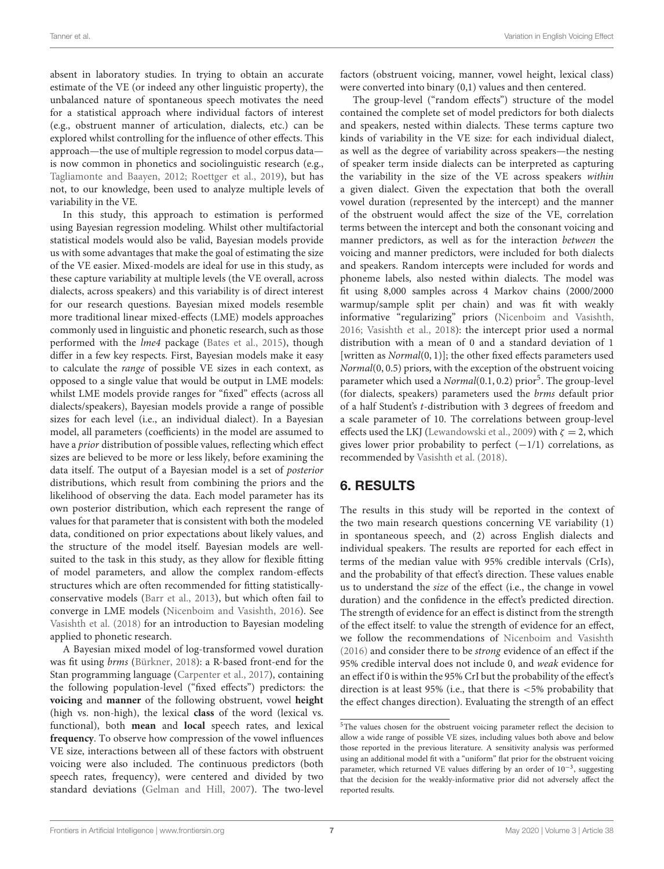absent in laboratory studies. In trying to obtain an accurate estimate of the VE (or indeed any other linguistic property), the unbalanced nature of spontaneous speech motivates the need for a statistical approach where individual factors of interest (e.g., obstruent manner of articulation, dialects, etc.) can be explored whilst controlling for the influence of other effects. This approach—the use of multiple regression to model corpus data is now common in phonetics and sociolinguistic research (e.g., [Tagliamonte and Baayen, 2012;](#page-16-12) [Roettger et al., 2019\)](#page-15-42), but has not, to our knowledge, been used to analyze multiple levels of variability in the VE.

In this study, this approach to estimation is performed using Bayesian regression modeling. Whilst other multifactorial statistical models would also be valid, Bayesian models provide us with some advantages that make the goal of estimating the size of the VE easier. Mixed-models are ideal for use in this study, as these capture variability at multiple levels (the VE overall, across dialects, across speakers) and this variability is of direct interest for our research questions. Bayesian mixed models resemble more traditional linear mixed-effects (LME) models approaches commonly used in linguistic and phonetic research, such as those performed with the lme4 package [\(Bates et al., 2015\)](#page-14-33), though differ in a few key respects. First, Bayesian models make it easy to calculate the range of possible VE sizes in each context, as opposed to a single value that would be output in LME models: whilst LME models provide ranges for "fixed" effects (across all dialects/speakers), Bayesian models provide a range of possible sizes for each level (i.e., an individual dialect). In a Bayesian model, all parameters (coefficients) in the model are assumed to have a prior distribution of possible values, reflecting which effect sizes are believed to be more or less likely, before examining the data itself. The output of a Bayesian model is a set of posterior distributions, which result from combining the priors and the likelihood of observing the data. Each model parameter has its own posterior distribution, which each represent the range of values for that parameter that is consistent with both the modeled data, conditioned on prior expectations about likely values, and the structure of the model itself. Bayesian models are wellsuited to the task in this study, as they allow for flexible fitting of model parameters, and allow the complex random-effects structures which are often recommended for fitting statisticallyconservative models [\(Barr et al., 2013\)](#page-14-34), but which often fail to converge in LME models [\(Nicenboim and Vasishth, 2016\)](#page-15-43). See [Vasishth et al. \(2018\)](#page-16-13) for an introduction to Bayesian modeling applied to phonetic research.

A Bayesian mixed model of log-transformed vowel duration was fit using brms [\(Bürkner, 2018\)](#page-14-35): a R-based front-end for the Stan programming language [\(Carpenter et al., 2017\)](#page-14-9), containing the following population-level ("fixed effects") predictors: the **voicing** and **manner** of the following obstruent, vowel **height** (high vs. non-high), the lexical **class** of the word (lexical vs. functional), both **mean** and **local** speech rates, and lexical **frequency**. To observe how compression of the vowel influences VE size, interactions between all of these factors with obstruent voicing were also included. The continuous predictors (both speech rates, frequency), were centered and divided by two standard deviations [\(Gelman and Hill, 2007\)](#page-14-36). The two-level factors (obstruent voicing, manner, vowel height, lexical class) were converted into binary (0,1) values and then centered.

The group-level ("random effects") structure of the model contained the complete set of model predictors for both dialects and speakers, nested within dialects. These terms capture two kinds of variability in the VE size: for each individual dialect, as well as the degree of variability across speakers—the nesting of speaker term inside dialects can be interpreted as capturing the variability in the size of the VE across speakers within a given dialect. Given the expectation that both the overall vowel duration (represented by the intercept) and the manner of the obstruent would affect the size of the VE, correlation terms between the intercept and both the consonant voicing and manner predictors, as well as for the interaction between the voicing and manner predictors, were included for both dialects and speakers. Random intercepts were included for words and phoneme labels, also nested within dialects. The model was fit using 8,000 samples across 4 Markov chains (2000/2000 warmup/sample split per chain) and was fit with weakly informative "regularizing" priors [\(Nicenboim and Vasishth,](#page-15-43) [2016;](#page-15-43) [Vasishth et al., 2018\)](#page-16-13): the intercept prior used a normal distribution with a mean of 0 and a standard deviation of 1 [written as *Normal*(0, 1)]; the other fixed effects parameters used Normal(0, 0.5) priors, with the exception of the obstruent voicing parameter which used a Normal(0.1, 0.2) prior<sup>[5](#page-8-0)</sup>. The group-level (for dialects, speakers) parameters used the brms default prior of a half Student's t-distribution with 3 degrees of freedom and a scale parameter of 10. The correlations between group-level effects used the LKJ [\(Lewandowski et al., 2009\)](#page-15-44) with  $\zeta = 2$ , which gives lower prior probability to perfect  $(-1/1)$  correlations, as recommended by [Vasishth et al. \(2018\)](#page-16-13).

# 6. RESULTS

The results in this study will be reported in the context of the two main research questions concerning VE variability (1) in spontaneous speech, and (2) across English dialects and individual speakers. The results are reported for each effect in terms of the median value with 95% credible intervals (CrIs), and the probability of that effect's direction. These values enable us to understand the size of the effect (i.e., the change in vowel duration) and the confidence in the effect's predicted direction. The strength of evidence for an effect is distinct from the strength of the effect itself: to value the strength of evidence for an effect, we follow the recommendations of [Nicenboim and Vasishth](#page-15-43) [\(2016\)](#page-15-43) and consider there to be strong evidence of an effect if the 95% credible interval does not include 0, and weak evidence for an effect if 0 is within the 95% CrI but the probability of the effect's direction is at least 95% (i.e., that there is <5% probability that the effect changes direction). Evaluating the strength of an effect

<span id="page-8-0"></span><sup>&</sup>lt;sup>5</sup>The values chosen for the obstruent voicing parameter reflect the decision to allow a wide range of possible VE sizes, including values both above and below those reported in the previous literature. A sensitivity analysis was performed using an additional model fit with a "uniform" flat prior for the obstruent voicing parameter, which returned VE values differing by an order of 10−<sup>3</sup> , suggesting that the decision for the weakly-informative prior did not adversely affect the reported results.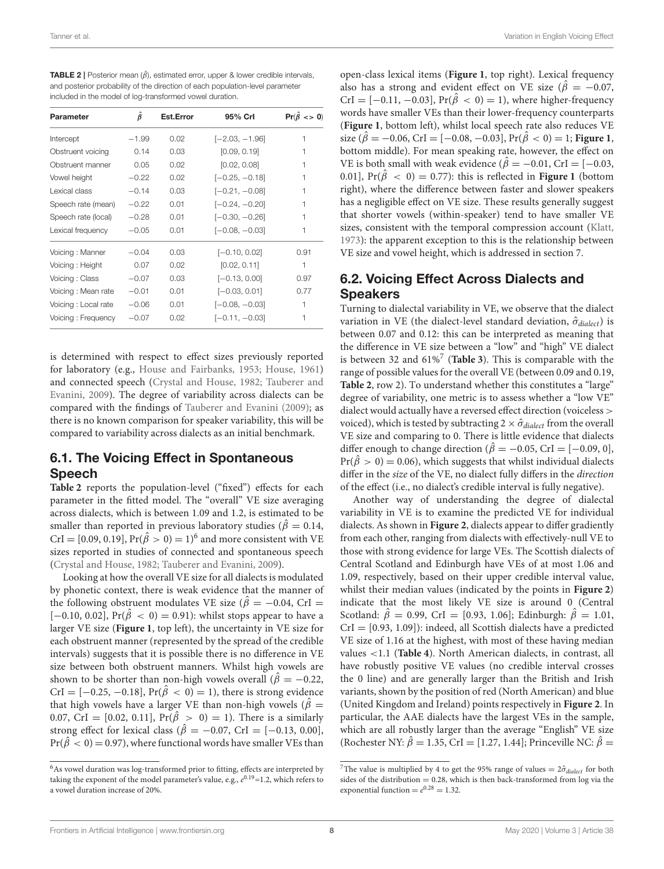<span id="page-9-0"></span>

| <b>TABLE 2</b>   Posterior mean $(\hat{\beta})$ , estimated error, upper & lower credible intervals, |
|------------------------------------------------------------------------------------------------------|
| and posterior probability of the direction of each population-level parameter                        |
| included in the model of log-transformed vowel duration.                                             |

| Parameter           | $\beta$ | Est.Error | 95% Crl          | $Pr(\hat{\beta} \leq 0)$ |
|---------------------|---------|-----------|------------------|--------------------------|
| Intercept           | $-1.99$ | 0.02      | [-2.03, -1.96]   | 1                        |
| Obstruent voicing   | 0.14    | 0.03      | [0.09, 0.19]     | 1                        |
| Obstruent manner    | 0.05    | 0.02      | [0.02, 0.08]     | 1                        |
| Vowel height        | $-0.22$ | 0.02      | [-0.25, -0.18]   | 1                        |
| Lexical class       | $-0.14$ | 0.03      | $[-0.21, -0.08]$ | 1                        |
| Speech rate (mean)  | $-0.22$ | 0.01      | $[-0.24, -0.20]$ |                          |
| Speech rate (local) | $-0.28$ | 0.01      | [-0.30, -0.26]   |                          |
| Lexical frequency   | $-0.05$ | 0.01      | [-0.08, -0.03]   | 1                        |
| Voicing: Manner     | $-0.04$ | 0.03      | $[-0.10, 0.02]$  | 0.91                     |
| Voicing: Height     | 0.07    | 0.02      | [0.02, 0.11]     | 1                        |
| Voicing: Class      | $-0.07$ | 0.03      | $[-0.13, 0.00]$  | 0.97                     |
| Voicing: Mean rate  | $-0.01$ | 0.01      | $[-0.03, 0.01]$  | 0.77                     |
| Voicing: Local rate | $-0.06$ | 0.01      | $[-0.08, -0.03]$ | 1                        |
| Voicing: Frequency  | $-0.07$ | 0.02      | $[-0.11, -0.03]$ | 1                        |

is determined with respect to effect sizes previously reported for laboratory (e.g., [House and Fairbanks, 1953;](#page-15-10) [House, 1961\)](#page-15-11) and connected speech [\(Crystal and House, 1982;](#page-14-6) Tauberer and Evanini, [2009\)](#page-16-8). The degree of variability across dialects can be compared with the findings of [Tauberer and Evanini \(2009\)](#page-16-8); as there is no known comparison for speaker variability, this will be compared to variability across dialects as an initial benchmark.

### 6.1. The Voicing Effect in Spontaneous Speech

**[Table 2](#page-9-0)** reports the population-level ("fixed") effects for each parameter in the fitted model. The "overall" VE size averaging across dialects, which is between 1.09 and 1.2, is estimated to be smaller than reported in previous laboratory studies ( $\hat{\beta} = 0.14$ , CrI = [0.09, 0.19], Pr( $\hat{\beta} > 0$ ) = 1)<sup>[6](#page-9-1)</sup> and more consistent with VE sizes reported in studies of connected and spontaneous speech [\(Crystal and House, 1982;](#page-14-6) [Tauberer and Evanini, 2009\)](#page-16-8).

Looking at how the overall VE size for all dialects is modulated by phonetic context, there is weak evidence that the manner of the following obstruent modulates VE size ( $\hat{\beta} = -0.04$ , CrI =  $[-0.10, 0.02]$ , Pr( $\hat{\beta}$  < 0) = 0.91): whilst stops appear to have a larger VE size (**[Figure 1](#page-10-0)**, top left), the uncertainty in VE size for each obstruent manner (represented by the spread of the credible intervals) suggests that it is possible there is no difference in VE size between both obstruent manners. Whilst high vowels are shown to be shorter than non-high vowels overall ( $\hat{\beta} = -0.22$ , CrI =  $[-0.25, -0.18]$ , Pr( $\hat{\beta} < 0$ ) = 1), there is strong evidence that high vowels have a larger VE than non-high vowels ( $\hat{\beta}$  = 0.07, CrI = [0.02, 0.11],  $Pr(\hat{\beta} > 0) = 1$ ). There is a similarly strong effect for lexical class ( $\hat{\beta} = -0.07$ , CrI = [-0.13, 0.00],  $Pr(\hat{\beta} < 0) = 0.97$ , where functional words have smaller VEs than

open-class lexical items (**[Figure 1](#page-10-0)**, top right). Lexical frequency also has a strong and evident effect on VE size ( $\hat{\beta} = -0.07$ , CrI =  $[-0.11, -0.03]$ ,  $Pr(\hat{\beta} < 0) = 1$ ), where higher-frequency words have smaller VEs than their lower-frequency counterparts (**[Figure 1](#page-10-0)**, bottom left), whilst local speech rate also reduces VE size ( $\hat{\beta} = -0.06$ , CrI = [-0.08, -0.03], Pr( $\hat{\beta} < 0$ ) = 1; [Figure 1](#page-10-0), bottom middle). For mean speaking rate, however, the effect on VE is both small with weak evidence ( $\hat{\beta} = -0.01$ , CrI = [-0.03, 0.01],  $Pr(\hat{\beta} < 0) = 0.77$ : this is reflected in **[Figure 1](#page-10-0)** (bottom right), where the difference between faster and slower speakers has a negligible effect on VE size. These results generally suggest that shorter vowels (within-speaker) tend to have smaller VE sizes, consistent with the temporal compression account [\(Klatt,](#page-15-12) [1973\)](#page-15-12): the apparent exception to this is the relationship between VE size and vowel height, which is addressed in section 7.

## 6.2. Voicing Effect Across Dialects and Speakers

Turning to dialectal variability in VE, we observe that the dialect variation in VE (the dialect-level standard deviation,  $\hat{\sigma}_{diabet}$ ) is between 0.07 and 0.12: this can be interpreted as meaning that the difference in VE size between a "low" and "high" VE dialect is between 32 and 61%[7](#page-9-2) (**[Table 3](#page-10-1)**). This is comparable with the range of possible values for the overall VE (between 0.09 and 0.19, **[Table 2](#page-9-0)**, row 2). To understand whether this constitutes a "large" degree of variability, one metric is to assess whether a "low VE" dialect would actually have a reversed effect direction (voiceless > voiced), which is tested by subtracting  $2 \times \hat{\sigma}_{dialect}$  from the overall VE size and comparing to 0. There is little evidence that dialects differ enough to change direction ( $\hat{\beta} = -0.05$ , CrI = [-0.09, 0],  $Pr(\hat{\beta} > 0) = 0.06$ , which suggests that whilst individual dialects differ in the size of the VE, no dialect fully differs in the direction of the effect (i.e., no dialect's credible interval is fully negative).

Another way of understanding the degree of dialectal variability in VE is to examine the predicted VE for individual dialects. As shown in **[Figure 2](#page-11-0)**, dialects appear to differ gradiently from each other, ranging from dialects with effectively-null VE to those with strong evidence for large VEs. The Scottish dialects of Central Scotland and Edinburgh have VEs of at most 1.06 and 1.09, respectively, based on their upper credible interval value, whilst their median values (indicated by the points in **[Figure 2](#page-11-0)**) indicate that the most likely VE size is around 0 (Central Scotland:  $\hat{\beta} = 0.99$ , CrI = [0.93, 1.06]; Edinburgh:  $\hat{\beta} = 1.01$ ,  $CrI = [0.93, 1.09]$ : indeed, all Scottish dialects have a predicted VE size of 1.16 at the highest, with most of these having median values <1.1 (**[Table 4](#page-12-0)**). North American dialects, in contrast, all have robustly positive VE values (no credible interval crosses the 0 line) and are generally larger than the British and Irish variants, shown by the position of red (North American) and blue (United Kingdom and Ireland) points respectively in **[Figure 2](#page-11-0)**. In particular, the AAE dialects have the largest VEs in the sample, which are all robustly larger than the average "English" VE size (Rochester NY:  $\hat{\beta} = 1.35$ , CrI = [1.27, 1.44]; Princeville NC:  $\hat{\beta} =$ 

<span id="page-9-1"></span> $^6\mathrm{As}$  vowel duration was log-transformed prior to fitting, effects are interpreted by taking the exponent of the model parameter's value, e.g.,  $e^{0.19}$ =1.2, which refers to a vowel duration increase of 20%.

<span id="page-9-2"></span><sup>&</sup>lt;sup>7</sup>The value is multiplied by 4 to get the 95% range of values =  $2\hat{\sigma}_{dialect}$  for both sides of the distribution  $= 0.28$ , which is then back-transformed from log via the exponential function =  $e^{0.28}$  = 1.32.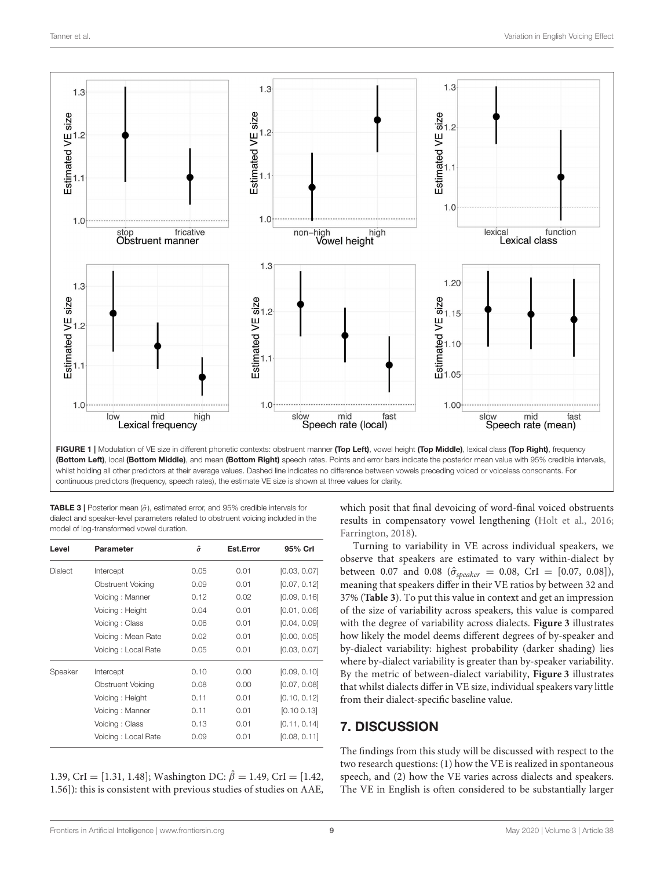

<span id="page-10-0"></span>FIGURE 1 | Modulation of VE size in different phonetic contexts: obstruent manner (Top Left), vowel height (Top Middle), lexical class (Top Right), frequency (Bottom Left), local (Bottom Middle), and mean (Bottom Right) speech rates. Points and error bars indicate the posterior mean value with 95% credible intervals, whilst holding all other predictors at their average values. Dashed line indicates no difference between vowels preceding voiced or voiceless consonants. For continuous predictors (frequency, speech rates), the estimate VE size is shown at three values for clarity.

<span id="page-10-1"></span>**TABLE 3** | Posterior mean ( $\hat{\sigma}$ ), estimated error, and 95% credible intervals for dialect and speaker-level parameters related to obstruent voicing included in the model of log-transformed vowel duration.

| Level          | Parameter                | $\hat{\sigma}$ | Est.Error | 95% Crl      |
|----------------|--------------------------|----------------|-----------|--------------|
| <b>Dialect</b> | Intercept                | 0.05           | 0.01      | [0.03, 0.07] |
|                | <b>Obstruent Voicing</b> | 0.09           | 0.01      | [0.07, 0.12] |
|                | Voicing: Manner          | 0.12           | 0.02      | [0.09, 0.16] |
|                | Voicing: Height          | 0.04           | 0.01      | [0.01, 0.06] |
|                | Voicing: Class           | 0.06           | 0.01      | [0.04, 0.09] |
|                | Voicing: Mean Rate       | 0.02           | 0.01      | [0.00, 0.05] |
|                | Voicing: Local Rate      | 0.05           | 0.01      | [0.03, 0.07] |
| Speaker        | Intercept                | 0.10           | 0.00      | [0.09, 0.10] |
|                | <b>Obstruent Voicing</b> | 0.08           | 0.00      | [0.07, 0.08] |
|                | Voicing: Height          | 0.11           | 0.01      | [0.10, 0.12] |
|                | Voicing: Manner          | 0.11           | 0.01      | [0.100.13]   |
|                | Voicing: Class           | 0.13           | 0.01      | [0.11, 0.14] |
|                | Voicing: Local Rate      | 0.09           | 0.01      | [0.08, 0.11] |

1.39, CrI = [1.31, 1.48]; Washington DC:  $\hat{\beta} = 1.49$ , CrI = [1.42, 1.56]): this is consistent with previous studies of studies on AAE, which posit that final devoicing of word-final voiced obstruents results in compensatory vowel lengthening [\(Holt et al., 2016;](#page-15-29) [Farrington, 2018\)](#page-14-16).

Turning to variability in VE across individual speakers, we observe that speakers are estimated to vary within-dialect by between 0.07 and 0.08 ( $\hat{\sigma}_{speaker} = 0.08$ , CrI = [0.07, 0.08]), meaning that speakers differ in their VE ratios by between 32 and 37% (**[Table 3](#page-10-1)**). To put this value in context and get an impression of the size of variability across speakers, this value is compared with the degree of variability across dialects. **[Figure 3](#page-12-1)** illustrates how likely the model deems different degrees of by-speaker and by-dialect variability: highest probability (darker shading) lies where by-dialect variability is greater than by-speaker variability. By the metric of between-dialect variability, **[Figure 3](#page-12-1)** illustrates that whilst dialects differ in VE size, individual speakers vary little from their dialect-specific baseline value.

## 7. DISCUSSION

The findings from this study will be discussed with respect to the two research questions: (1) how the VE is realized in spontaneous speech, and (2) how the VE varies across dialects and speakers. The VE in English is often considered to be substantially larger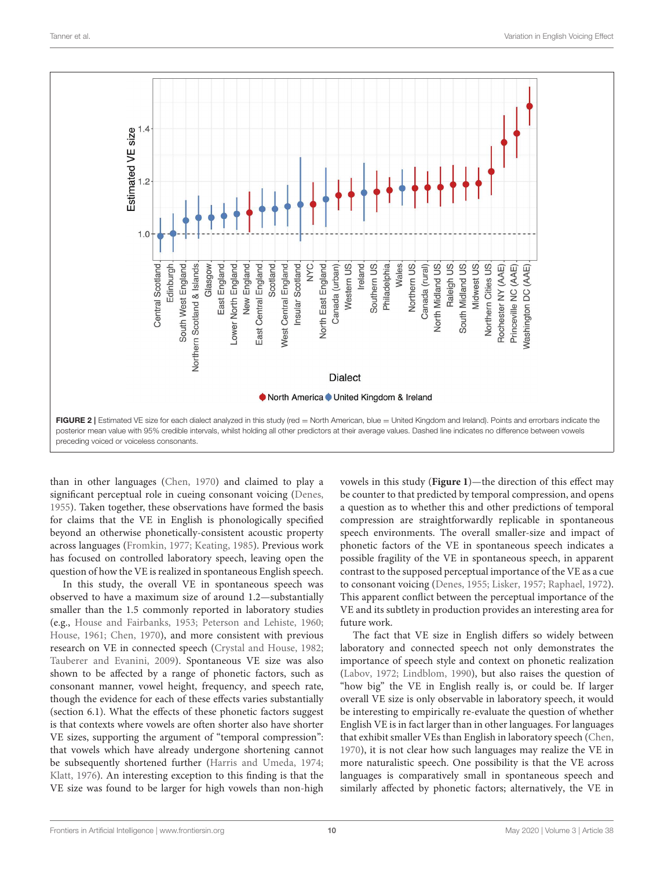

<span id="page-11-0"></span>than in other languages [\(Chen, 1970\)](#page-14-5) and claimed to play a significant perceptual role in cueing consonant voicing [\(Denes,](#page-14-7) [1955\)](#page-14-7). Taken together, these observations have formed the basis for claims that the VE in English is phonologically specified beyond an otherwise phonetically-consistent acoustic property across languages [\(Fromkin, 1977;](#page-14-8) [Keating, 1985\)](#page-15-27). Previous work has focused on controlled laboratory speech, leaving open the question of how the VE is realized in spontaneous English speech.

In this study, the overall VE in spontaneous speech was observed to have a maximum size of around 1.2—substantially smaller than the 1.5 commonly reported in laboratory studies (e.g., [House and Fairbanks, 1953;](#page-15-10) [Peterson and Lehiste, 1960;](#page-15-15) [House, 1961;](#page-15-11) [Chen, 1970\)](#page-14-5), and more consistent with previous research on VE in connected speech [\(Crystal and House, 1982;](#page-14-6) [Tauberer and Evanini, 2009\)](#page-16-8). Spontaneous VE size was also shown to be affected by a range of phonetic factors, such as consonant manner, vowel height, frequency, and speech rate, though the evidence for each of these effects varies substantially (section 6.1). What the effects of these phonetic factors suggest is that contexts where vowels are often shorter also have shorter VE sizes, supporting the argument of "temporal compression": that vowels which have already undergone shortening cannot be subsequently shortened further [\(Harris and Umeda, 1974;](#page-14-12) [Klatt, 1976\)](#page-15-25). An interesting exception to this finding is that the VE size was found to be larger for high vowels than non-high vowels in this study (**[Figure 1](#page-10-0)**)—the direction of this effect may be counter to that predicted by temporal compression, and opens a question as to whether this and other predictions of temporal compression are straightforwardly replicable in spontaneous speech environments. The overall smaller-size and impact of phonetic factors of the VE in spontaneous speech indicates a possible fragility of the VE in spontaneous speech, in apparent contrast to the supposed perceptual importance of the VE as a cue to consonant voicing [\(Denes, 1955;](#page-14-7) [Lisker, 1957;](#page-15-23) [Raphael, 1972\)](#page-15-24). This apparent conflict between the perceptual importance of the VE and its subtlety in production provides an interesting area for future work.

The fact that VE size in English differs so widely between laboratory and connected speech not only demonstrates the importance of speech style and context on phonetic realization [\(Labov, 1972;](#page-15-32) [Lindblom, 1990\)](#page-15-45), but also raises the question of "how big" the VE in English really is, or could be. If larger overall VE size is only observable in laboratory speech, it would be interesting to empirically re-evaluate the question of whether English VE is in fact larger than in other languages. For languages that exhibit smaller VEs than English in laboratory speech [\(Chen,](#page-14-5) [1970\)](#page-14-5), it is not clear how such languages may realize the VE in more naturalistic speech. One possibility is that the VE across languages is comparatively small in spontaneous speech and similarly affected by phonetic factors; alternatively, the VE in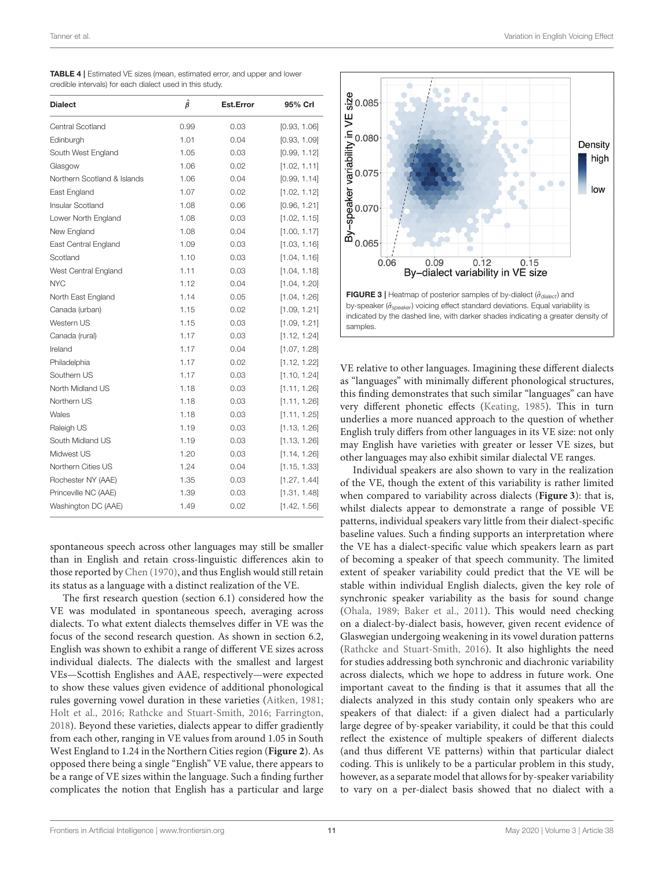<span id="page-12-0"></span>

| TABLE 4   Estimated VE sizes (mean, estimated error, and upper and lower |  |
|--------------------------------------------------------------------------|--|
| credible intervals) for each dialect used in this study.                 |  |

| <b>Dialect</b>              | $\hat{\beta}$ | <b>Est.Error</b> | 95% Crl      |
|-----------------------------|---------------|------------------|--------------|
| Central Scotland            | 0.99          | 0.03             | [0.93, 1.06] |
| Edinburgh                   | 1.01          | 0.04             | [0.93, 1.09] |
| South West England          | 1.05          | 0.03             | [0.99, 1.12] |
| Glasgow                     | 1.06          | 0.02             | [1.02, 1.11] |
| Northern Scotland & Islands | 1.06          | 0.04             | [0.99, 1.14] |
| East England                | 1.07          | 0.02             | [1.02, 1.12] |
| Insular Scotland            | 1.08          | 0.06             | [0.96, 1.21] |
| Lower North England         | 1.08          | 0.03             | [1.02, 1.15] |
| New England                 | 1.08          | 0.04             | [1.00, 1.17] |
| East Central England        | 1.09          | 0.03             | [1.03, 1.16] |
| Scotland                    | 1.10          | 0.03             | [1.04, 1.16] |
| West Central England        | 1.11          | 0.03             | [1.04, 1.18] |
| <b>NYC</b>                  | 1.12          | 0.04             | [1.04, 1.20] |
| North East England          | 1.14          | 0.05             | [1.04, 1.26] |
| Canada (urban)              | 1.15          | 0.02             | [1.09, 1.21] |
| Western US                  | 1.15          | 0.03             | [1.09, 1.21] |
| Canada (rural)              | 1.17          | 0.03             | [1.12, 1.24] |
| Ireland                     | 1.17          | 0.04             | [1.07, 1.28] |
| Philadelphia                | 1.17          | 0.02             | [1.12, 1.22] |
| Southern US                 | 1.17          | 0.03             | [1.10, 1.24] |
| North Midland US            | 1.18          | 0.03             | [1.11, 1.26] |
| Northern US                 | 1.18          | 0.03             | [1.11, 1.26] |
| Wales                       | 1.18          | 0.03             | [1.11, 1.25] |
| Raleigh US                  | 1.19          | 0.03             | [1.13, 1.26] |
| South Midland US            | 1.19          | 0.03             | [1.13, 1.26] |
| Midwest US                  | 1.20          | 0.03             | [1.14, 1.26] |
| Northern Cities US          | 1.24          | 0.04             | [1.15, 1.33] |
| Rochester NY (AAE)          | 1.35          | 0.03             | [1.27, 1.44] |
| Princeville NC (AAE)        | 1.39          | 0.03             | [1.31, 1.48] |
| Washington DC (AAE)         | 1.49          | 0.02             | [1.42, 1.56] |

spontaneous speech across other languages may still be smaller than in English and retain cross-linguistic differences akin to those reported by [Chen \(1970\)](#page-14-5), and thus English would still retain its status as a language with a distinct realization of the VE.

The first research question (section 6.1) considered how the VE was modulated in spontaneous speech, averaging across dialects. To what extent dialects themselves differ in VE was the focus of the second research question. As shown in section 6.2, English was shown to exhibit a range of different VE sizes across individual dialects. The dialects with the smallest and largest VEs—Scottish Englishes and AAE, respectively—were expected to show these values given evidence of additional phonological rules governing vowel duration in these varieties [\(Aitken, 1981;](#page-14-14) [Holt et al., 2016;](#page-15-29) [Rathcke and Stuart-Smith, 2016;](#page-15-28) [Farrington,](#page-14-16) [2018\)](#page-14-16). Beyond these varieties, dialects appear to differ gradiently from each other, ranging in VE values from around 1.05 in South West England to 1.24 in the Northern Cities region (**[Figure 2](#page-11-0)**). As opposed there being a single "English" VE value, there appears to be a range of VE sizes within the language. Such a finding further complicates the notion that English has a particular and large



<span id="page-12-1"></span>VE relative to other languages. Imagining these different dialects as "languages" with minimally different phonological structures, this finding demonstrates that such similar "languages" can have very different phonetic effects [\(Keating, 1985\)](#page-15-27). This in turn underlies a more nuanced approach to the question of whether English truly differs from other languages in its VE size: not only may English have varieties with greater or lesser VE sizes, but other languages may also exhibit similar dialectal VE ranges.

Individual speakers are also shown to vary in the realization of the VE, though the extent of this variability is rather limited when compared to variability across dialects (**[Figure 3](#page-12-1)**): that is, whilst dialects appear to demonstrate a range of possible VE patterns, individual speakers vary little from their dialect-specific baseline values. Such a finding supports an interpretation where the VE has a dialect-specific value which speakers learn as part of becoming a speaker of that speech community. The limited extent of speaker variability could predict that the VE will be stable within individual English dialects, given the key role of synchronic speaker variability as the basis for sound change [\(Ohala, 1989;](#page-15-31) [Baker et al., 2011\)](#page-14-17). This would need checking on a dialect-by-dialect basis, however, given recent evidence of Glaswegian undergoing weakening in its vowel duration patterns [\(Rathcke and Stuart-Smith, 2016\)](#page-15-28). It also highlights the need for studies addressing both synchronic and diachronic variability across dialects, which we hope to address in future work. One important caveat to the finding is that it assumes that all the dialects analyzed in this study contain only speakers who are speakers of that dialect: if a given dialect had a particularly large degree of by-speaker variability, it could be that this could reflect the existence of multiple speakers of different dialects (and thus different VE patterns) within that particular dialect coding. This is unlikely to be a particular problem in this study, however, as a separate model that allows for by-speaker variability to vary on a per-dialect basis showed that no dialect with a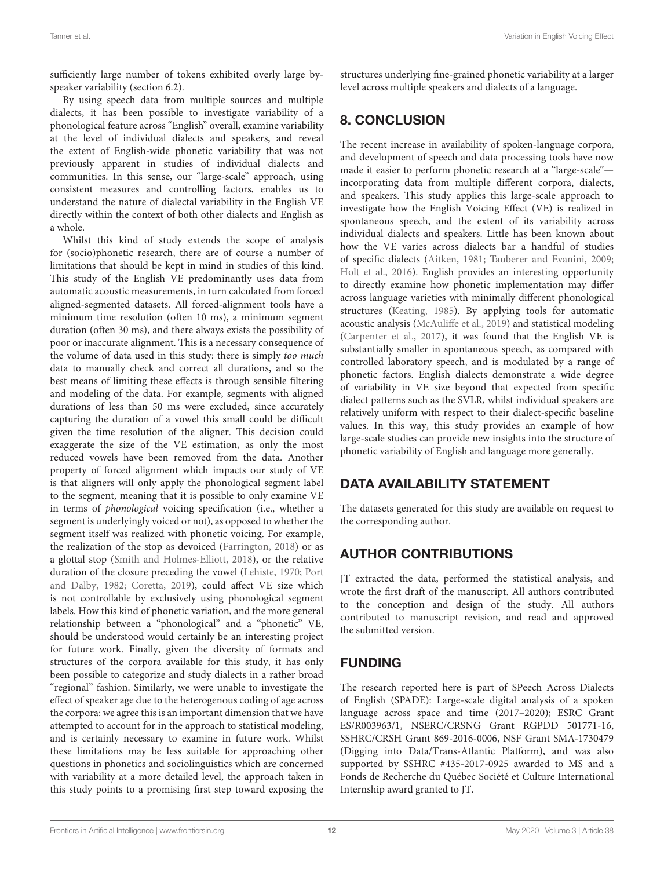sufficiently large number of tokens exhibited overly large byspeaker variability (section 6.2).

By using speech data from multiple sources and multiple dialects, it has been possible to investigate variability of a phonological feature across "English" overall, examine variability at the level of individual dialects and speakers, and reveal the extent of English-wide phonetic variability that was not previously apparent in studies of individual dialects and communities. In this sense, our "large-scale" approach, using consistent measures and controlling factors, enables us to understand the nature of dialectal variability in the English VE directly within the context of both other dialects and English as a whole.

Whilst this kind of study extends the scope of analysis for (socio)phonetic research, there are of course a number of limitations that should be kept in mind in studies of this kind. This study of the English VE predominantly uses data from automatic acoustic measurements, in turn calculated from forced aligned-segmented datasets. All forced-alignment tools have a minimum time resolution (often 10 ms), a minimum segment duration (often 30 ms), and there always exists the possibility of poor or inaccurate alignment. This is a necessary consequence of the volume of data used in this study: there is simply too much data to manually check and correct all durations, and so the best means of limiting these effects is through sensible filtering and modeling of the data. For example, segments with aligned durations of less than 50 ms were excluded, since accurately capturing the duration of a vowel this small could be difficult given the time resolution of the aligner. This decision could exaggerate the size of the VE estimation, as only the most reduced vowels have been removed from the data. Another property of forced alignment which impacts our study of VE is that aligners will only apply the phonological segment label to the segment, meaning that it is possible to only examine VE in terms of phonological voicing specification (i.e., whether a segment is underlyingly voiced or not), as opposed to whether the segment itself was realized with phonetic voicing. For example, the realization of the stop as devoiced [\(Farrington, 2018\)](#page-14-16) or as a glottal stop [\(Smith and Holmes-Elliott, 2018\)](#page-15-46), or the relative duration of the closure preceding the vowel [\(Lehiste, 1970;](#page-15-47) Port and Dalby, [1982;](#page-15-13) [Coretta, 2019\)](#page-14-37), could affect VE size which is not controllable by exclusively using phonological segment labels. How this kind of phonetic variation, and the more general relationship between a "phonological" and a "phonetic" VE, should be understood would certainly be an interesting project for future work. Finally, given the diversity of formats and structures of the corpora available for this study, it has only been possible to categorize and study dialects in a rather broad "regional" fashion. Similarly, we were unable to investigate the effect of speaker age due to the heterogenous coding of age across the corpora: we agree this is an important dimension that we have attempted to account for in the approach to statistical modeling, and is certainly necessary to examine in future work. Whilst these limitations may be less suitable for approaching other questions in phonetics and sociolinguistics which are concerned with variability at a more detailed level, the approach taken in this study points to a promising first step toward exposing the

structures underlying fine-grained phonetic variability at a larger level across multiple speakers and dialects of a language.

# 8. CONCLUSION

The recent increase in availability of spoken-language corpora, and development of speech and data processing tools have now made it easier to perform phonetic research at a "large-scale" incorporating data from multiple different corpora, dialects, and speakers. This study applies this large-scale approach to investigate how the English Voicing Effect (VE) is realized in spontaneous speech, and the extent of its variability across individual dialects and speakers. Little has been known about how the VE varies across dialects bar a handful of studies of specific dialects [\(Aitken, 1981;](#page-14-14) [Tauberer and Evanini, 2009;](#page-16-8) [Holt et al., 2016\)](#page-15-29). English provides an interesting opportunity to directly examine how phonetic implementation may differ across language varieties with minimally different phonological structures [\(Keating, 1985\)](#page-15-27). By applying tools for automatic acoustic analysis [\(McAuliffe et al., 2019\)](#page-15-20) and statistical modeling [\(Carpenter et al., 2017\)](#page-14-9), it was found that the English VE is substantially smaller in spontaneous speech, as compared with controlled laboratory speech, and is modulated by a range of phonetic factors. English dialects demonstrate a wide degree of variability in VE size beyond that expected from specific dialect patterns such as the SVLR, whilst individual speakers are relatively uniform with respect to their dialect-specific baseline values. In this way, this study provides an example of how large-scale studies can provide new insights into the structure of phonetic variability of English and language more generally.

# DATA AVAILABILITY STATEMENT

The datasets generated for this study are available on request to the corresponding author.

# AUTHOR CONTRIBUTIONS

JT extracted the data, performed the statistical analysis, and wrote the first draft of the manuscript. All authors contributed to the conception and design of the study. All authors contributed to manuscript revision, and read and approved the submitted version.

# FUNDING

The research reported here is part of SPeech Across Dialects of English (SPADE): Large-scale digital analysis of a spoken language across space and time (2017–2020); ESRC Grant ES/R003963/1, NSERC/CRSNG Grant RGPDD 501771-16, SSHRC/CRSH Grant 869-2016-0006, NSF Grant SMA-1730479 (Digging into Data/Trans-Atlantic Platform), and was also supported by SSHRC #435-2017-0925 awarded to MS and a Fonds de Recherche du Québec Société et Culture International Internship award granted to JT.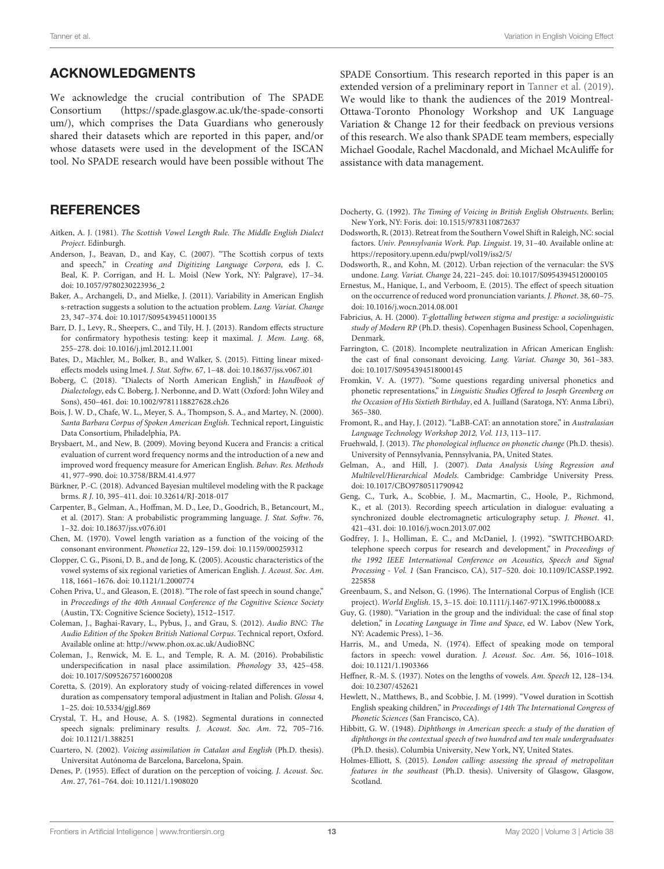#### ACKNOWLEDGMENTS

We acknowledge the crucial contribution of The SPADE Consortium [\(https://spade.glasgow.ac.uk/the-spade-consorti](https://spade.glasgow.ac.uk/the-spade-consortium/) [um/\)](https://spade.glasgow.ac.uk/the-spade-consortium/), which comprises the Data Guardians who generously shared their datasets which are reported in this paper, and/or whose datasets were used in the development of the ISCAN tool. No SPADE research would have been possible without The

#### **REFERENCES**

- <span id="page-14-14"></span>Aitken, A. J. (1981). The Scottish Vowel Length Rule. The Middle English Dialect Project. Edinburgh.
- <span id="page-14-27"></span>Anderson, J., Beavan, D., and Kay, C. (2007). "The Scottish corpus of texts and speech," in Creating and Digitizing Language Corpora, eds J. C. Beal, K. P. Corrigan, and H. L. Moisl (New York, NY: Palgrave), 17–34. doi: [10.1057/9780230223936\\_2](https://doi.org/10.1057/9780230223936_2)
- <span id="page-14-17"></span>Baker, A., Archangeli, D., and Mielke, J. (2011). Variability in American English s-retraction suggests a solution to the actuation problem. Lang. Variat. Change 23, 347–374. doi: [10.1017/S0954394511000135](https://doi.org/10.1017/S0954394511000135)
- <span id="page-14-34"></span>Barr, D. J., Levy, R., Sheepers, C., and Tily, H. J. (2013). Random effects structure for confirmatory hypothesis testing: keep it maximal. J. Mem. Lang. 68, 255–278. doi: [10.1016/j.jml.2012.11.001](https://doi.org/10.1016/j.jml.2012.11.001)
- <span id="page-14-33"></span>Bates, D., Mächler, M., Bolker, B., and Walker, S. (2015). Fitting linear mixedeffects models using lme4. J. Stat. Softw. 67, 1–48. doi: [10.18637/jss.v067.i01](https://doi.org/10.18637/jss.v067.i01)
- <span id="page-14-18"></span>Boberg, C. (2018). "Dialects of North American English," in Handbook of Dialectology, eds C. Boberg, J. Nerbonne, and D. Watt (Oxford: John Wiley and Sons), 450–461. doi: [10.1002/9781118827628.ch26](https://doi.org/10.1002/9781118827628.ch26)
- <span id="page-14-26"></span>Bois, J. W. D., Chafe, W. L., Meyer, S. A., Thompson, S. A., and Martey, N. (2000). Santa Barbara Corpus of Spoken American English. Technical report, Linguistic Data Consortium, Philadelphia, PA.
- <span id="page-14-32"></span>Brysbaert, M., and New, B. (2009). Moving beyond Kucera and Francis: a critical evaluation of current word frequency norms and the introduction of a new and improved word frequency measure for American English. Behav. Res. Methods 41, 977–990. doi: [10.3758/BRM.41.4.977](https://doi.org/10.3758/BRM.41.4.977)
- <span id="page-14-35"></span>Bürkner, P.-C. (2018). Advanced Bayesian multilevel modeling with the R package brms. R J. 10, 395–411. doi: [10.32614/RJ-2018-017](https://doi.org/10.32614/RJ-2018-017)
- <span id="page-14-9"></span>Carpenter, B., Gelman, A., Hoffman, M. D., Lee, D., Goodrich, B., Betancourt, M., et al. (2017). Stan: A probabilistic programming language. J. Stat. Softw. 76, 1–32. doi: [10.18637/jss.v076.i01](https://doi.org/10.18637/jss.v076.i01)
- <span id="page-14-5"></span>Chen, M. (1970). Vowel length variation as a function of the voicing of the consonant environment. Phonetica 22, 129–159. doi: [10.1159/000259312](https://doi.org/10.1159/000259312)
- <span id="page-14-1"></span>Clopper, C. G., Pisoni, D. B., and de Jong, K. (2005). Acoustic characteristics of the vowel systems of six regional varieties of American English. J. Acoust. Soc. Am. 118, 1661–1676. doi: [10.1121/1.2000774](https://doi.org/10.1121/1.2000774)
- <span id="page-14-31"></span>Cohen Priva, U., and Gleason, E. (2018). "The role of fast speech in sound change," in Proceedings of the 40th Annual Conference of the Cognitive Science Society (Austin, TX: Cognitive Science Society), 1512–1517.
- <span id="page-14-19"></span>Coleman, J., Baghai-Ravary, L., Pybus, J., and Grau, S. (2012). Audio BNC: The Audio Edition of the Spoken British National Corpus. Technical report, Oxford. Available online at:<http://www.phon.ox.ac.uk/AudioBNC>
- <span id="page-14-4"></span>Coleman, J., Renwick, M. E. L., and Temple, R. A. M. (2016). Probabilistic underspecification in nasal place assimilation. Phonology 33, 425–458. doi: [10.1017/S0952675716000208](https://doi.org/10.1017/S0952675716000208)
- <span id="page-14-37"></span>Coretta, S. (2019). An exploratory study of voicing-related differences in vowel duration as compensatory temporal adjustment in Italian and Polish. Glossa 4, 1–25. doi: [10.5334/gjgl.869](https://doi.org/10.5334/gjgl.869)
- <span id="page-14-6"></span>Crystal, T. H., and House, A. S. (1982). Segmental durations in connected speech signals: preliminary results. J. Acoust. Soc. Am. 72, 705–716. doi: [10.1121/1.388251](https://doi.org/10.1121/1.388251)
- <span id="page-14-13"></span>Cuartero, N. (2002). Voicing assimilation in Catalan and English (Ph.D. thesis). Universitat Autónoma de Barcelona, Barcelona, Spain.
- <span id="page-14-7"></span>Denes, P. (1955). Effect of duration on the perception of voicing. J. Acoust. Soc. Am. 27, 761–764. doi: [10.1121/1.1908020](https://doi.org/10.1121/1.1908020)

SPADE Consortium. This research reported in this paper is an extended version of a preliminary report in [Tanner et al. \(2019\)](#page-16-14). We would like to thank the audiences of the 2019 Montreal-Ottawa-Toronto Phonology Workshop and UK Language Variation & Change 12 for their feedback on previous versions of this research. We also thank SPADE team members, especially Michael Goodale, Rachel Macdonald, and Michael McAuliffe for assistance with data management.

<span id="page-14-2"></span>Docherty, G. (1992). The Timing of Voicing in British English Obstruents. Berlin; New York, NY: Foris. doi: [10.1515/9783110872637](https://doi.org/10.1515/9783110872637)

- <span id="page-14-29"></span>Dodsworth, R. (2013). Retreat from the Southern Vowel Shift in Raleigh, NC: social factors. Univ. Pennsylvania Work. Pap. Linguist. 19, 31–40. Available online at: <https://repository.upenn.edu/pwpl/vol19/iss2/5/>
- <span id="page-14-25"></span>Dodsworth, R., and Kohn, M. (2012). Urban rejection of the vernacular: the SVS undone. Lang. Variat. Change 24, 221–245. doi: [10.1017/S0954394512000105](https://doi.org/10.1017/S0954394512000105)
- <span id="page-14-3"></span>Ernestus, M., Hanique, I., and Verboom, E. (2015). The effect of speech situation on the occurrence of reduced word pronunciation variants. J. Phonet. 38, 60–75. doi: [10.1016/j.wocn.2014.08.001](https://doi.org/10.1016/j.wocn.2014.08.001)
- <span id="page-14-24"></span>Fabricius, A. H. (2000). T-glottalling between stigma and prestige: a sociolinguistic study of Modern RP (Ph.D. thesis). Copenhagen Business School, Copenhagen, Denmark.
- <span id="page-14-16"></span>Farrington, C. (2018). Incomplete neutralization in African American English: the cast of final consonant devoicing. Lang. Variat. Change 30, 361–383. doi: [10.1017/S0954394518000145](https://doi.org/10.1017/S0954394518000145)
- <span id="page-14-8"></span>Fromkin, V. A. (1977). "Some questions regarding universal phonetics and phonetic representations," in Linguistic Studies Offered to Joseph Greenberg on the Occasion of His Sixtieth Birthday, ed A. Juilland (Saratoga, NY: Anma Libri), 365–380.
- <span id="page-14-20"></span>Fromont, R., and Hay, J. (2012). "LaBB-CAT: an annotation store," in Australasian Language Technology Workshop 2012, Vol. 113, 113–117.
- <span id="page-14-30"></span>Fruehwald, J. (2013). The phonological influence on phonetic change (Ph.D. thesis). University of Pennsylvania, Pennsylvania, PA, United States.
- <span id="page-14-36"></span>Gelman, A., and Hill, J. (2007). Data Analysis Using Regression and Multilevel/Hierarchical Models. Cambridge: Cambridge University Press. doi: [10.1017/CBO9780511790942](https://doi.org/10.1017/CBO9780511790942)
- <span id="page-14-21"></span>Geng, C., Turk, A., Scobbie, J. M., Macmartin, C., Hoole, P., Richmond, K., et al. (2013). Recording speech articulation in dialogue: evaluating a synchronized double electromagnetic articulography setup. J. Phonet. 41, 421–431. doi: [10.1016/j.wocn.2013.07.002](https://doi.org/10.1016/j.wocn.2013.07.002)
- <span id="page-14-28"></span>Godfrey, J. J., Holliman, E. C., and McDaniel, J. (1992). "SWITCHBOARD: telephone speech corpus for research and development," in Proceedings of the 1992 IEEE International Conference on Acoustics, Speech and Signal Processing - Vol. 1 [\(San Francisco, CA\), 517–520. doi: 10.1109/ICASSP.1992.](https://doi.org/10.1109/ICASSP.1992.225858) 225858
- <span id="page-14-23"></span>Greenbaum, S., and Nelson, G. (1996). The International Corpus of English (ICE project). World English. 15, 3–15. doi: [10.1111/j.1467-971X.1996.tb00088.x](https://doi.org/10.1111/j.1467-971X.1996.tb00088.x)
- <span id="page-14-0"></span>Guy, G. (1980). "Variation in the group and the individual: the case of final stop deletion," in Locating Language in Time and Space, ed W. Labov (New York, NY: Academic Press), 1–36.
- <span id="page-14-12"></span>Harris, M., and Umeda, N. (1974). Effect of speaking mode on temporal factors in speech: vowel duration. J. Acoust. Soc. Am. 56, 1016–1018. doi: [10.1121/1.1903366](https://doi.org/10.1121/1.1903366)
- <span id="page-14-10"></span>Heffner, R.-M. S. (1937). Notes on the lengths of vowels. Am. Speech 12, 128–134. doi: [10.2307/452621](https://doi.org/10.2307/452621)
- <span id="page-14-15"></span>Hewlett, N., Matthews, B., and Scobbie, J. M. (1999). "Vowel duration in Scottish English speaking children," in Proceedings of 14th The International Congress of Phonetic Sciences (San Francisco, CA).
- <span id="page-14-11"></span>Hibbitt, G. W. (1948). Diphthongs in American speech: a study of the duration of diphthongs in the contextual speech of two hundred and ten male undergraduates (Ph.D. thesis). Columbia University, New York, NY, United States.
- <span id="page-14-22"></span>Holmes-Elliott, S. (2015). London calling: assessing the spread of metropolitan features in the southeast (Ph.D. thesis). University of Glasgow, Glasgow, Scotland.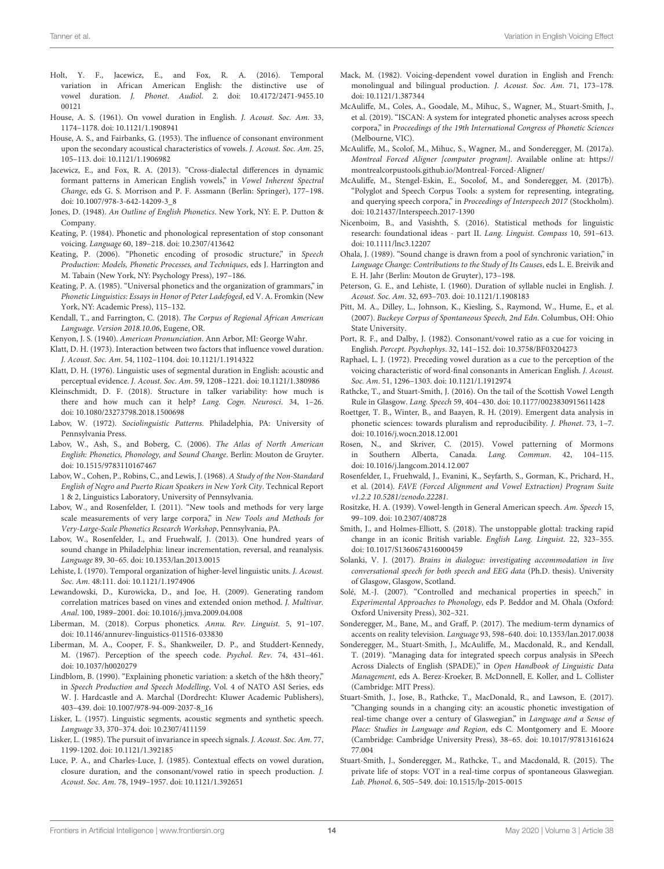- <span id="page-15-29"></span>Holt, Y. F., Jacewicz, E., and Fox, R. A. (2016). Temporal variation in African American English: the distinctive use of vowel duration. J. Phonet. Audiol[. 2. doi: 10.4172/2471-9455.10](https://doi.org/10.4172/2471-9455.1000121) 00121
- <span id="page-15-11"></span>House, A. S. (1961). On vowel duration in English. J. Acoust. Soc. Am. 33, 1174–1178. doi: [10.1121/1.1908941](https://doi.org/10.1121/1.1908941)
- <span id="page-15-10"></span>House, A. S., and Fairbanks, G. (1953). The influence of consonant environment upon the secondary acoustical characteristics of vowels. J. Acoust. Soc. Am. 25, 105–113. doi: [10.1121/1.1906982](https://doi.org/10.1121/1.1906982)
- <span id="page-15-7"></span>Jacewicz, E., and Fox, R. A. (2013). "Cross-dialectal differences in dynamic formant patterns in American English vowels," in Vowel Inherent Spectral Change, eds G. S. Morrison and P. F. Assmann (Berlin: Springer), 177–198. doi: [10.1007/978-3-642-14209-3\\_8](https://doi.org/10.1007/978-3-642-14209-3_8)
- <span id="page-15-22"></span>Jones, D. (1948). An Outline of English Phonetics. New York, NY: E. P. Dutton & Company.
- <span id="page-15-30"></span>Keating, P. (1984). Phonetic and phonological representation of stop consonant voicing. Language 60, 189–218. doi: [10.2307/413642](https://doi.org/10.2307/413642)
- <span id="page-15-17"></span>Keating, P. (2006). "Phonetic encoding of prosodic structure," in Speech Production: Models, Phonetic Processes, and Techniques, eds J. Harrington and M. Tabain (New York, NY: Psychology Press), 197–186.
- <span id="page-15-27"></span>Keating, P. A. (1985). "Universal phonetics and the organization of grammars," in Phonetic Linguistics: Essays in Honor of Peter Ladefoged, ed V. A. Fromkin (New York, NY: Academic Press), 115–132.
- <span id="page-15-37"></span>Kendall, T., and Farrington, C. (2018). The Corpus of Regional African American Language. Version 2018.10.06, Eugene, OR.
- <span id="page-15-21"></span>Kenyon, J. S. (1940). American Pronunciation. Ann Arbor, MI: George Wahr.
- <span id="page-15-12"></span>Klatt, D. H. (1973). Interaction between two factors that influence vowel duration. J. Acoust. Soc. Am. 54, 1102–1104. doi: [10.1121/1.1914322](https://doi.org/10.1121/1.1914322)
- <span id="page-15-25"></span>Klatt, D. H. (1976). Linguistic uses of segmental duration in English: acoustic and perceptual evidence. J. Acoust. Soc. Am. 59, 1208–1221. doi: [10.1121/1.380986](https://doi.org/10.1121/1.380986)
- <span id="page-15-6"></span>Kleinschmidt, D. F. (2018). Structure in talker variability: how much is there and how much can it help? Lang. Cogn. Neurosci. 34, 1–26. doi: [10.1080/23273798.2018.1500698](https://doi.org/10.1080/23273798.2018.1500698)
- <span id="page-15-32"></span>Labov, W. (1972). Sociolinguistic Patterns. Philadelphia, PA: University of Pennsylvania Press.
- <span id="page-15-1"></span>Labov, W., Ash, S., and Boberg, C. (2006). The Atlas of North American English: Phonetics, Phonology, and Sound Change. Berlin: Mouton de Gruyter. doi: [10.1515/9783110167467](https://doi.org/10.1515/9783110167467)
- <span id="page-15-0"></span>Labov, W., Cohen, P., Robins, C., and Lewis, J. (1968). A Study of the Non-Standard English of Negro and Puerto Rican Speakers in New York City. Technical Report 1 & 2, Linguistics Laboratory, University of Pennsylvania.
- <span id="page-15-39"></span>Labov, W., and Rosenfelder, I. (2011). "New tools and methods for very large scale measurements of very large corpora," in New Tools and Methods for Very-Large-Scale Phonetics Research Workshop, Pennsylvania, PA.
- <span id="page-15-8"></span>Labov, W., Rosenfelder, I., and Fruehwalf, J. (2013). One hundred years of sound change in Philadelphia: linear incrementation, reversal, and reanalysis. Language 89, 30–65. doi: [10.1353/lan.2013.0015](https://doi.org/10.1353/lan.2013.0015)
- <span id="page-15-47"></span>Lehiste, I. (1970). Temporal organization of higher-level linguistic units. J. Acoust. Soc. Am. 48:111. doi: [10.1121/1.1974906](https://doi.org/10.1121/1.1974906)
- <span id="page-15-44"></span>Lewandowski, D., Kurowicka, D., and Joe, H. (2009). Generating random correlation matrices based on vines and extended onion method. J. Multivar. Anal. 100, 1989–2001. doi: [10.1016/j.jmva.2009.04.008](https://doi.org/10.1016/j.jmva.2009.04.008)
- <span id="page-15-9"></span>Liberman, M. (2018). Corpus phonetics. Annu. Rev. Linguist. 5, 91–107. doi: [10.1146/annurev-linguistics-011516-033830](https://doi.org/10.1146/annurev-linguistics-011516-033830)
- <span id="page-15-4"></span>Liberman, M. A., Cooper, F. S., Shankweiler, D. P., and Studdert-Kennedy, M. (1967). Perception of the speech code. Psychol. Rev. 74, 431–461. doi: [10.1037/h0020279](https://doi.org/10.1037/h0020279)
- <span id="page-15-45"></span>Lindblom, B. (1990). "Explaining phonetic variation: a sketch of the h&h theory," in Speech Production and Speech Modelling, Vol. 4 of NATO ASI Series, eds W. J. Hardcastle and A. Marchal (Dordrecht: Kluwer Academic Publishers), 403–439. doi: [10.1007/978-94-009-2037-8\\_16](https://doi.org/10.1007/978-94-009-2037-8_16)
- <span id="page-15-23"></span>Lisker, L. (1957). Linguistic segments, acoustic segments and synthetic speech. Language 33, 370–374. doi: [10.2307/411159](https://doi.org/10.2307/411159)
- <span id="page-15-5"></span>Lisker, L. (1985). The pursuit of invariance in speech signals. J. Acoust. Soc. Am. 77, 1199-1202. doi: [10.1121/1.392185](https://doi.org/10.1121/1.392185)
- <span id="page-15-16"></span>Luce, P. A., and Charles-Luce, J. (1985). Contextual effects on vowel duration, closure duration, and the consonant/vowel ratio in speech production. J. Acoust. Soc. Am. 78, 1949–1957. doi: [10.1121/1.392651](https://doi.org/10.1121/1.392651)
- <span id="page-15-26"></span>Mack, M. (1982). Voicing-dependent vowel duration in English and French: monolingual and bilingual production. J. Acoust. Soc. Am. 71, 173–178. doi: [10.1121/1.387344](https://doi.org/10.1121/1.387344)
- <span id="page-15-20"></span>McAuliffe, M., Coles, A., Goodale, M., Mihuc, S., Wagner, M., Stuart-Smith, J., et al. (2019). "ISCAN: A system for integrated phonetic analyses across speech corpora," in Proceedings of the 19th International Congress of Phonetic Sciences (Melbourne, VIC).
- <span id="page-15-34"></span>McAuliffe, M., Scolof, M., Mihuc, S., Wagner, M., and Sonderegger, M. (2017a). Montreal Forced Aligner [computer program]. Available online at: [https://](https://montrealcorpustools.github.io/Montreal-Forced-Aligner/) [montrealcorpustools.github.io/Montreal-Forced-Aligner/](https://montrealcorpustools.github.io/Montreal-Forced-Aligner/)
- <span id="page-15-41"></span>McAuliffe, M., Stengel-Eskin, E., Socolof, M., and Sonderegger, M. (2017b). "Polyglot and Speech Corpus Tools: a system for representing, integrating, and querying speech corpora," in Proceedings of Interspeech 2017 (Stockholm). doi: [10.21437/Interspeech.2017-1390](https://doi.org/10.21437/Interspeech.2017-1390)
- <span id="page-15-43"></span>Nicenboim, B., and Vasishth, S. (2016). Statistical methods for linguistic research: foundational ideas - part II. Lang. Linguist. Compass 10, 591–613. doi: [10.1111/lnc3.12207](https://doi.org/10.1111/lnc3.12207)
- <span id="page-15-31"></span>Ohala, J. (1989). "Sound change is drawn from a pool of synchronic variation," in Language Change: Contributions to the Study of Its Causes, eds L. E. Breivik and E. H. Jahr (Berlin: Mouton de Gruyter), 173–198.
- <span id="page-15-15"></span>Peterson, G. E., and Lehiste, I. (1960). Duration of syllable nuclei in English. J. Acoust. Soc. Am. 32, 693–703. doi: [10.1121/1.1908183](https://doi.org/10.1121/1.1908183)
- <span id="page-15-36"></span>Pitt, M. A., Dilley, L., Johnson, K., Kiesling, S., Raymond, W., Hume, E., et al. (2007). Buckeye Corpus of Spontaneous Speech, 2nd Edn. Columbus, OH: Ohio State University.
- <span id="page-15-13"></span>Port, R. F., and Dalby, J. (1982). Consonant/vowel ratio as a cue for voicing in English. Percept. Psychophys. 32, 141–152. doi: [10.3758/BF03204273](https://doi.org/10.3758/BF03204273)
- <span id="page-15-24"></span>Raphael, L. J. (1972). Preceding vowel duration as a cue to the perception of the voicing characteristic of word-final consonants in American English. J. Acoust. Soc. Am. 51, 1296–1303. doi: [10.1121/1.1912974](https://doi.org/10.1121/1.1912974)
- <span id="page-15-28"></span>Rathcke, T., and Stuart-Smith, J. (2016). On the tail of the Scottish Vowel Length Rule in Glasgow. Lang. Speech 59, 404–430. doi: [10.1177/0023830915611428](https://doi.org/10.1177/0023830915611428)
- <span id="page-15-42"></span>Roettger, T. B., Winter, B., and Baayen, R. H. (2019). Emergent data analysis in phonetic sciences: towards pluralism and reproducibility. J. Phonet. 73, 1–7. doi: [10.1016/j.wocn.2018.12.001](https://doi.org/10.1016/j.wocn.2018.12.001)
- <span id="page-15-33"></span>Rosen, N., and Skriver, C. (2015). Vowel patterning of Mormons in Southern Alberta, Canada. Lang. Commun. 42, 104–115. doi: [10.1016/j.langcom.2014.12.007](https://doi.org/10.1016/j.langcom.2014.12.007)
- <span id="page-15-38"></span>Rosenfelder, I., Fruehwald, J., Evanini, K., Seyfarth, S., Gorman, K., Prichard, H., et al. (2014). FAVE (Forced Alignment and Vowel Extraction) Program Suite v1.2.2 10.5281/zenodo.22281.
- <span id="page-15-14"></span>Rositzke, H. A. (1939). Vowel-length in General American speech. Am. Speech 15, 99–109. doi: [10.2307/408728](https://doi.org/10.2307/408728)
- <span id="page-15-46"></span>Smith, J., and Holmes-Elliott, S. (2018). The unstoppable glottal: tracking rapid change in an iconic British variable. English Lang. Linguist. 22, 323–355. doi: [10.1017/S1360674316000459](https://doi.org/10.1017/S1360674316000459)
- <span id="page-15-35"></span>Solanki, V. J. (2017). Brains in dialogue: investigating accommodation in live conversational speech for both speech and EEG data (Ph.D. thesis). University of Glasgow, Glasgow, Scotland.
- <span id="page-15-18"></span>Solé, M.-J. (2007). "Controlled and mechanical properties in speech," in Experimental Approaches to Phonology, eds P. Beddor and M. Ohala (Oxford: Oxford University Press), 302–321.
- <span id="page-15-3"></span>Sonderegger, M., Bane, M., and Graff, P. (2017). The medium-term dynamics of accents on reality television. Language 93, 598–640. doi: [10.1353/lan.2017.0038](https://doi.org/10.1353/lan.2017.0038)
- <span id="page-15-19"></span>Sonderegger, M., Stuart-Smith, J., McAuliffe, M., Macdonald, R., and Kendall, T. (2019). "Managing data for integrated speech corpus analysis in SPeech Across Dialects of English (SPADE)," in Open Handbook of Linguistic Data Management, eds A. Berez-Kroeker, B. McDonnell, E. Koller, and L. Collister (Cambridge: MIT Press).
- <span id="page-15-40"></span>Stuart-Smith, J., Jose, B., Rathcke, T., MacDonald, R., and Lawson, E. (2017). "Changing sounds in a changing city: an acoustic phonetic investigation of real-time change over a century of Glaswegian," in Language and a Sense of Place: Studies in Language and Region, eds C. Montgomery and E. Moore [\(Cambridge: Cambridge University Press\), 38–65. doi: 10.1017/97813161624](https://doi.org/10.1017/9781316162477.004) 77.004
- <span id="page-15-2"></span>Stuart-Smith, J., Sonderegger, M., Rathcke, T., and Macdonald, R. (2015). The private life of stops: VOT in a real-time corpus of spontaneous Glaswegian. Lab. Phonol. 6, 505–549. doi: [10.1515/lp-2015-0015](https://doi.org/10.1515/lp-2015-0015)